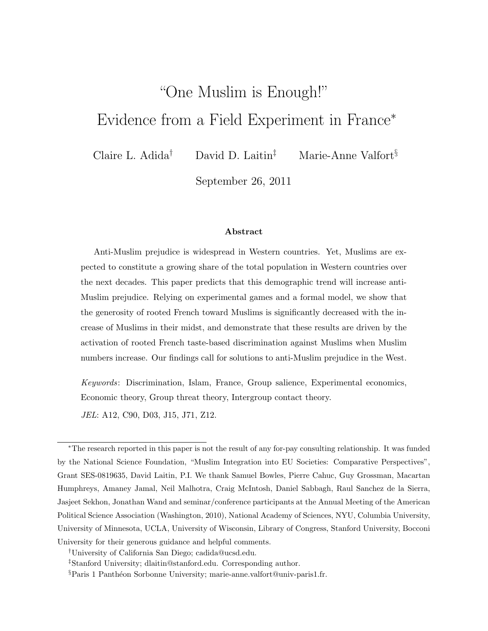# "One Muslim is Enough!" Evidence from a Field Experiment in France*<sup>∗</sup>*

Claire L. Adida*†* David D. Laitin*‡* Marie-Anne Valfort*§*

September 26, 2011

#### **Abstract**

Anti-Muslim prejudice is widespread in Western countries. Yet, Muslims are expected to constitute a growing share of the total population in Western countries over the next decades. This paper predicts that this demographic trend will increase anti-Muslim prejudice. Relying on experimental games and a formal model, we show that the generosity of rooted French toward Muslims is significantly decreased with the increase of Muslims in their midst, and demonstrate that these results are driven by the activation of rooted French taste-based discrimination against Muslims when Muslim numbers increase. Our findings call for solutions to anti-Muslim prejudice in the West.

*Keywords*: Discrimination, Islam, France, Group salience, Experimental economics, Economic theory, Group threat theory, Intergroup contact theory.

*JEL*: A12, C90, D03, J15, J71, Z12.

*<sup>∗</sup>*The research reported in this paper is not the result of any for-pay consulting relationship. It was funded by the National Science Foundation, "Muslim Integration into EU Societies: Comparative Perspectives", Grant SES-0819635, David Laitin, P.I. We thank Samuel Bowles, Pierre Cahuc, Guy Grossman, Macartan Humphreys, Amaney Jamal, Neil Malhotra, Craig McIntosh, Daniel Sabbagh, Raul Sanchez de la Sierra, Jasjeet Sekhon, Jonathan Wand and seminar/conference participants at the Annual Meeting of the American Political Science Association (Washington, 2010), National Academy of Sciences, NYU, Columbia University, University of Minnesota, UCLA, University of Wisconsin, Library of Congress, Stanford University, Bocconi

University for their generous guidance and helpful comments.

*<sup>†</sup>*University of California San Diego; cadida@ucsd.edu.

*<sup>‡</sup>*Stanford University; dlaitin@stanford.edu. Corresponding author.

<sup>&</sup>lt;sup>§</sup>Paris 1 Panthéon Sorbonne University; marie-anne.valfort@univ-paris1.fr.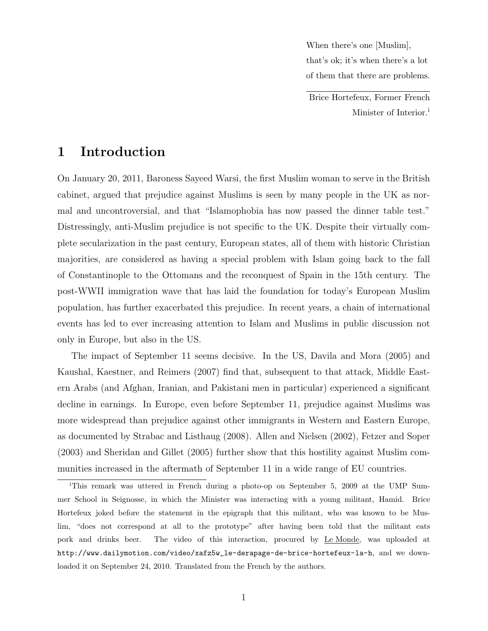When there's one [Muslim], that's ok; it's when there's a lot of them that there are problems.

Brice Hortefeux, Former French Minister of Interior.<sup>i</sup>

# **1 Introduction**

On January 20, 2011, Baroness Sayeed Warsi, the first Muslim woman to serve in the British cabinet, argued that prejudice against Muslims is seen by many people in the UK as normal and uncontroversial, and that "Islamophobia has now passed the dinner table test." Distressingly, anti-Muslim prejudice is not specific to the UK. Despite their virtually complete secularization in the past century, European states, all of them with historic Christian majorities, are considered as having a special problem with Islam going back to the fall of Constantinople to the Ottomans and the reconquest of Spain in the 15th century. The post-WWII immigration wave that has laid the foundation for today's European Muslim population, has further exacerbated this prejudice. In recent years, a chain of international events has led to ever increasing attention to Islam and Muslims in public discussion not only in Europe, but also in the US.

The impact of September 11 seems decisive. In the US, Davila and Mora (2005) and Kaushal, Kaestner, and Reimers (2007) find that, subsequent to that attack, Middle Eastern Arabs (and Afghan, Iranian, and Pakistani men in particular) experienced a significant decline in earnings. In Europe, even before September 11, prejudice against Muslims was more widespread than prejudice against other immigrants in Western and Eastern Europe, as documented by Strabac and Listhaug (2008). Allen and Nielsen (2002), Fetzer and Soper (2003) and Sheridan and Gillet (2005) further show that this hostility against Muslim communities increased in the aftermath of September 11 in a wide range of EU countries.

<sup>i</sup>This remark was uttered in French during a photo-op on September 5, 2009 at the UMP Summer School in Seignosse, in which the Minister was interacting with a young militant, Hamid. Brice Hortefeux joked before the statement in the epigraph that this militant, who was known to be Muslim, "does not correspond at all to the prototype" after having been told that the militant eats pork and drinks beer. The video of this interaction, procured by Le Monde, was uploaded at http://www.dailymotion.com/video/xafz5w\_le-derapage-de-brice-hortefeux-la-h, and we downloaded it on September 24, 2010. Translated from the French by the authors.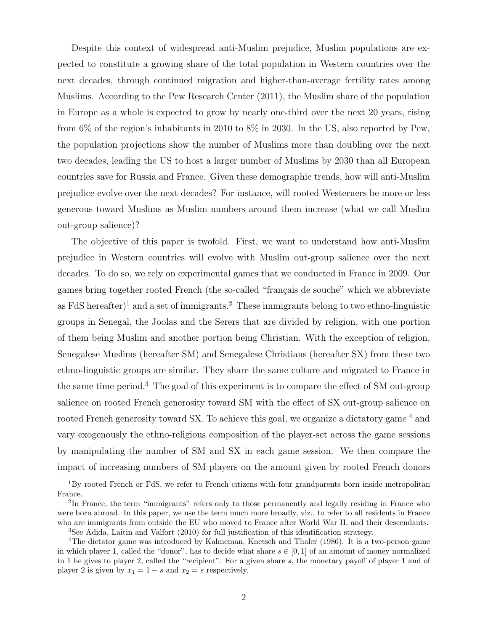Despite this context of widespread anti-Muslim prejudice, Muslim populations are expected to constitute a growing share of the total population in Western countries over the next decades, through continued migration and higher-than-average fertility rates among Muslims. According to the Pew Research Center (2011), the Muslim share of the population in Europe as a whole is expected to grow by nearly one-third over the next 20 years, rising from 6% of the region's inhabitants in 2010 to 8% in 2030. In the US, also reported by Pew, the population projections show the number of Muslims more than doubling over the next two decades, leading the US to host a larger number of Muslims by 2030 than all European countries save for Russia and France. Given these demographic trends, how will anti-Muslim prejudice evolve over the next decades? For instance, will rooted Westerners be more or less generous toward Muslims as Muslim numbers around them increase (what we call Muslim out-group salience)?

The objective of this paper is twofold. First, we want to understand how anti-Muslim prejudice in Western countries will evolve with Muslim out-group salience over the next decades. To do so, we rely on experimental games that we conducted in France in 2009. Our games bring together rooted French (the so-called "français de souche" which we abbreviate as FdS hereafter<sup> $)$ 1</sup> and a set of immigrants.<sup>2</sup> These immigrants belong to two ethno-linguistic groups in Senegal, the Joolas and the Serers that are divided by religion, with one portion of them being Muslim and another portion being Christian. With the exception of religion, Senegalese Muslims (hereafter SM) and Senegalese Christians (hereafter SX) from these two ethno-linguistic groups are similar. They share the same culture and migrated to France in the same time period.<sup>3</sup> The goal of this experiment is to compare the effect of SM out-group salience on rooted French generosity toward SM with the effect of SX out-group salience on rooted French generosity toward SX. To achieve this goal, we organize a dictatory game <sup>4</sup> and vary exogenously the ethno-religious composition of the player-set across the game sessions by manipulating the number of SM and SX in each game session. We then compare the impact of increasing numbers of SM players on the amount given by rooted French donors

<sup>&</sup>lt;sup>1</sup>By rooted French or FdS, we refer to French citizens with four grandparents born inside metropolitan France.

<sup>&</sup>lt;sup>2</sup>In France, the term "immigrants" refers only to those permanently and legally residing in France who were born abroad. In this paper, we use the term much more broadly, viz., to refer to all residents in France who are immigrants from outside the EU who moved to France after World War II, and their descendants.

<sup>3</sup>See Adida, Laitin and Valfort (2010) for full justification of this identification strategy.

<sup>&</sup>lt;sup>4</sup>The dictator game was introduced by Kahneman, Knetsch and Thaler (1986). It is a two-person game in which player 1, called the "donor", has to decide what share  $s \in [0, 1]$  of an amount of money normalized to 1 he gives to player 2, called the "recipient". For a given share *s*, the monetary payoff of player 1 and of player 2 is given by  $x_1 = 1 - s$  and  $x_2 = s$  respectively.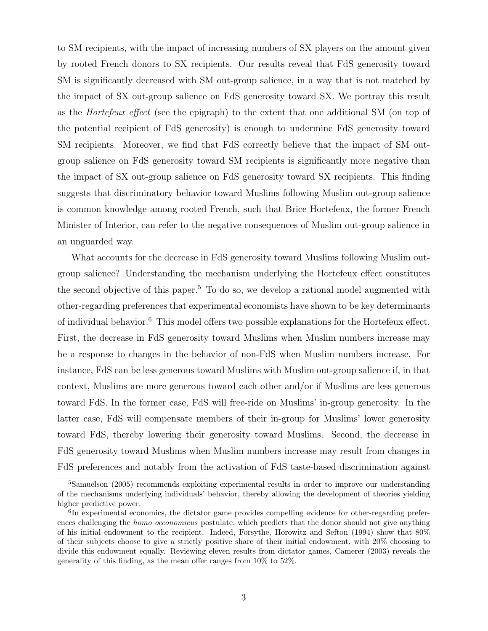to SM recipients, with the impact of increasing numbers of SX players on the amount given by rooted French donors to SX recipients. Our results reveal that FdS generosity toward SM is significantly decreased with SM out-group salience, in a way that is not matched by the impact of SX out-group salience on FdS generosity toward SX. We portray this result as the *Hortefeux effect* (see the epigraph) to the extent that one additional SM (on top of the potential recipient of FdS generosity) is enough to undermine FdS generosity toward SM recipients. Moreover, we find that FdS correctly believe that the impact of SM outgroup salience on FdS generosity toward SM recipients is significantly more negative than the impact of SX out-group salience on FdS generosity toward SX recipients. This finding suggests that discriminatory behavior toward Muslims following Muslim out-group salience is common knowledge among rooted French, such that Brice Hortefeux, the former French Minister of Interior, can refer to the negative consequences of Muslim out-group salience in an unguarded way.

What accounts for the decrease in FdS generosity toward Muslims following Muslim outgroup salience? Understanding the mechanism underlying the Hortefeux effect constitutes the second objective of this paper.<sup>5</sup> To do so, we develop a rational model augmented with other-regarding preferences that experimental economists have shown to be key determinants of individual behavior.<sup>6</sup> This model offers two possible explanations for the Hortefeux effect. First, the decrease in FdS generosity toward Muslims when Muslim numbers increase may be a response to changes in the behavior of non-FdS when Muslim numbers increase. For instance, FdS can be less generous toward Muslims with Muslim out-group salience if, in that context, Muslims are more generous toward each other and/or if Muslims are less generous toward FdS. In the former case, FdS will free-ride on Muslims' in-group generosity. In the latter case, FdS will compensate members of their in-group for Muslims' lower generosity toward FdS, thereby lowering their generosity toward Muslims. Second, the decrease in FdS generosity toward Muslims when Muslim numbers increase may result from changes in FdS preferences and notably from the activation of FdS taste-based discrimination against

<sup>5</sup>Samuelson (2005) recommends exploiting experimental results in order to improve our understanding of the mechanisms underlying individuals' behavior, thereby allowing the development of theories yielding higher predictive power.

<sup>&</sup>lt;sup>6</sup>In experimental economics, the dictator game provides compelling evidence for other-regarding preferences challenging the *homo oeconomicus* postulate, which predicts that the donor should not give anything of his initial endowment to the recipient. Indeed, Forsythe, Horowitz and Sefton (1994) show that 80% of their subjects choose to give a strictly positive share of their initial endowment, with 20% choosing to divide this endowment equally. Reviewing eleven results from dictator games, Camerer (2003) reveals the generality of this finding, as the mean offer ranges from 10% to 52%.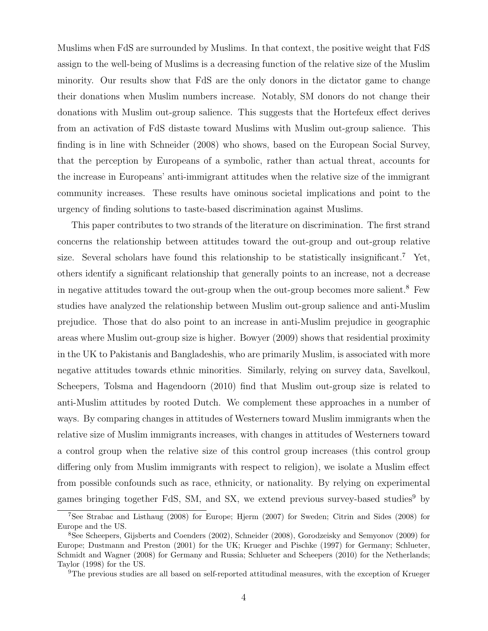Muslims when FdS are surrounded by Muslims. In that context, the positive weight that FdS assign to the well-being of Muslims is a decreasing function of the relative size of the Muslim minority. Our results show that FdS are the only donors in the dictator game to change their donations when Muslim numbers increase. Notably, SM donors do not change their donations with Muslim out-group salience. This suggests that the Hortefeux effect derives from an activation of FdS distaste toward Muslims with Muslim out-group salience. This finding is in line with Schneider (2008) who shows, based on the European Social Survey, that the perception by Europeans of a symbolic, rather than actual threat, accounts for the increase in Europeans' anti-immigrant attitudes when the relative size of the immigrant community increases. These results have ominous societal implications and point to the urgency of finding solutions to taste-based discrimination against Muslims.

This paper contributes to two strands of the literature on discrimination. The first strand concerns the relationship between attitudes toward the out-group and out-group relative size. Several scholars have found this relationship to be statistically insignificant.<sup>7</sup> Yet, others identify a significant relationship that generally points to an increase, not a decrease in negative attitudes toward the out-group when the out-group becomes more salient.<sup>8</sup> Few studies have analyzed the relationship between Muslim out-group salience and anti-Muslim prejudice. Those that do also point to an increase in anti-Muslim prejudice in geographic areas where Muslim out-group size is higher. Bowyer (2009) shows that residential proximity in the UK to Pakistanis and Bangladeshis, who are primarily Muslim, is associated with more negative attitudes towards ethnic minorities. Similarly, relying on survey data, Savelkoul, Scheepers, Tolsma and Hagendoorn (2010) find that Muslim out-group size is related to anti-Muslim attitudes by rooted Dutch. We complement these approaches in a number of ways. By comparing changes in attitudes of Westerners toward Muslim immigrants when the relative size of Muslim immigrants increases, with changes in attitudes of Westerners toward a control group when the relative size of this control group increases (this control group differing only from Muslim immigrants with respect to religion), we isolate a Muslim effect from possible confounds such as race, ethnicity, or nationality. By relying on experimental games bringing together FdS, SM, and SX, we extend previous survey-based studies<sup>9</sup> by

<sup>7</sup>See Strabac and Listhaug (2008) for Europe; Hjerm (2007) for Sweden; Citrin and Sides (2008) for Europe and the US.

<sup>8</sup>See Scheepers, Gijsberts and Coenders (2002), Schneider (2008), Gorodzeisky and Semyonov (2009) for Europe; Dustmann and Preston (2001) for the UK; Krueger and Pischke (1997) for Germany; Schlueter, Schmidt and Wagner (2008) for Germany and Russia; Schlueter and Scheepers (2010) for the Netherlands; Taylor (1998) for the US.

<sup>9</sup>The previous studies are all based on self-reported attitudinal measures, with the exception of Krueger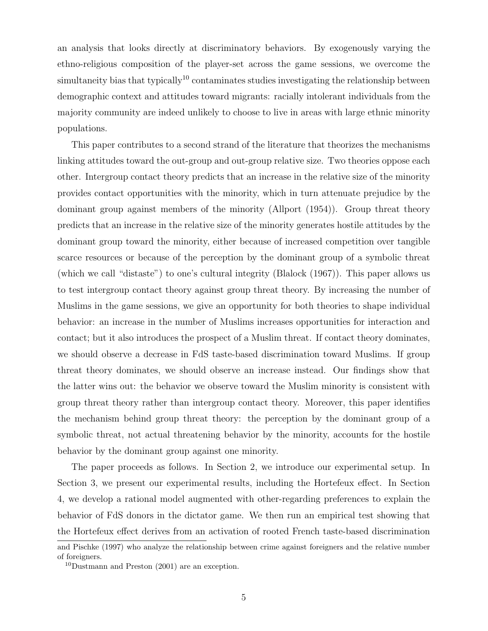an analysis that looks directly at discriminatory behaviors. By exogenously varying the ethno-religious composition of the player-set across the game sessions, we overcome the simultaneity bias that typically<sup>10</sup> contaminates studies investigating the relationship between demographic context and attitudes toward migrants: racially intolerant individuals from the majority community are indeed unlikely to choose to live in areas with large ethnic minority populations.

This paper contributes to a second strand of the literature that theorizes the mechanisms linking attitudes toward the out-group and out-group relative size. Two theories oppose each other. Intergroup contact theory predicts that an increase in the relative size of the minority provides contact opportunities with the minority, which in turn attenuate prejudice by the dominant group against members of the minority (Allport (1954)). Group threat theory predicts that an increase in the relative size of the minority generates hostile attitudes by the dominant group toward the minority, either because of increased competition over tangible scarce resources or because of the perception by the dominant group of a symbolic threat (which we call "distaste") to one's cultural integrity (Blalock (1967)). This paper allows us to test intergroup contact theory against group threat theory. By increasing the number of Muslims in the game sessions, we give an opportunity for both theories to shape individual behavior: an increase in the number of Muslims increases opportunities for interaction and contact; but it also introduces the prospect of a Muslim threat. If contact theory dominates, we should observe a decrease in FdS taste-based discrimination toward Muslims. If group threat theory dominates, we should observe an increase instead. Our findings show that the latter wins out: the behavior we observe toward the Muslim minority is consistent with group threat theory rather than intergroup contact theory. Moreover, this paper identifies the mechanism behind group threat theory: the perception by the dominant group of a symbolic threat, not actual threatening behavior by the minority, accounts for the hostile behavior by the dominant group against one minority.

The paper proceeds as follows. In Section 2, we introduce our experimental setup. In Section 3, we present our experimental results, including the Hortefeux effect. In Section 4, we develop a rational model augmented with other-regarding preferences to explain the behavior of FdS donors in the dictator game. We then run an empirical test showing that the Hortefeux effect derives from an activation of rooted French taste-based discrimination

and Pischke (1997) who analyze the relationship between crime against foreigners and the relative number of foreigners.

<sup>10</sup>Dustmann and Preston (2001) are an exception.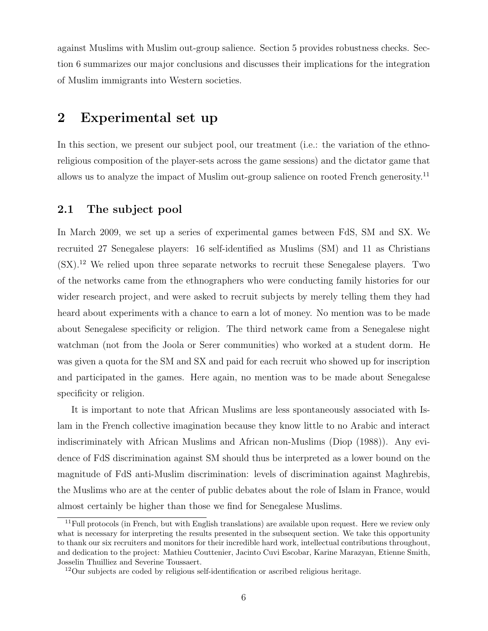against Muslims with Muslim out-group salience. Section 5 provides robustness checks. Section 6 summarizes our major conclusions and discusses their implications for the integration of Muslim immigrants into Western societies.

### **2 Experimental set up**

In this section, we present our subject pool, our treatment (i.e.: the variation of the ethnoreligious composition of the player-sets across the game sessions) and the dictator game that allows us to analyze the impact of Muslim out-group salience on rooted French generosity.<sup>11</sup>

#### **2.1 The subject pool**

In March 2009, we set up a series of experimental games between FdS, SM and SX. We recruited 27 Senegalese players: 16 self-identified as Muslims (SM) and 11 as Christians (SX).<sup>12</sup> We relied upon three separate networks to recruit these Senegalese players. Two of the networks came from the ethnographers who were conducting family histories for our wider research project, and were asked to recruit subjects by merely telling them they had heard about experiments with a chance to earn a lot of money. No mention was to be made about Senegalese specificity or religion. The third network came from a Senegalese night watchman (not from the Joola or Serer communities) who worked at a student dorm. He was given a quota for the SM and SX and paid for each recruit who showed up for inscription and participated in the games. Here again, no mention was to be made about Senegalese specificity or religion.

It is important to note that African Muslims are less spontaneously associated with Islam in the French collective imagination because they know little to no Arabic and interact indiscriminately with African Muslims and African non-Muslims (Diop (1988)). Any evidence of FdS discrimination against SM should thus be interpreted as a lower bound on the magnitude of FdS anti-Muslim discrimination: levels of discrimination against Maghrebis, the Muslims who are at the center of public debates about the role of Islam in France, would almost certainly be higher than those we find for Senegalese Muslims.

 $11$ Full protocols (in French, but with English translations) are available upon request. Here we review only what is necessary for interpreting the results presented in the subsequent section. We take this opportunity to thank our six recruiters and monitors for their incredible hard work, intellectual contributions throughout, and dedication to the project: Mathieu Couttenier, Jacinto Cuvi Escobar, Karine Marazyan, Etienne Smith, Josselin Thuilliez and Severine Toussaert.

<sup>&</sup>lt;sup>12</sup>Our subjects are coded by religious self-identification or ascribed religious heritage.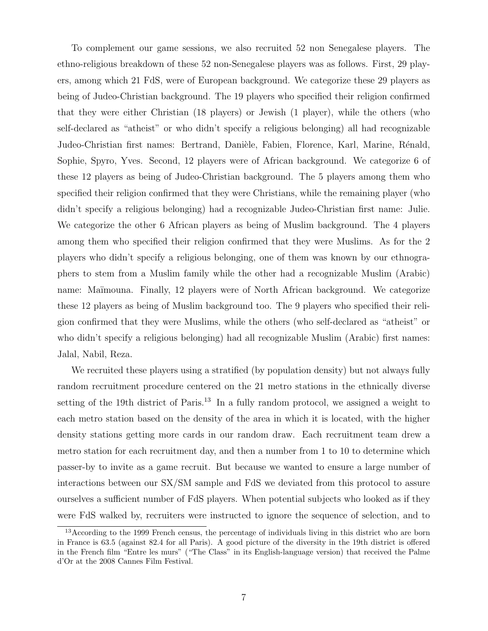To complement our game sessions, we also recruited 52 non Senegalese players. The ethno-religious breakdown of these 52 non-Senegalese players was as follows. First, 29 players, among which 21 FdS, were of European background. We categorize these 29 players as being of Judeo-Christian background. The 19 players who specified their religion confirmed that they were either Christian (18 players) or Jewish (1 player), while the others (who self-declared as "atheist" or who didn't specify a religious belonging) all had recognizable Judeo-Christian first names: Bertrand, Danièle, Fabien, Florence, Karl, Marine, Rénald, Sophie, Spyro, Yves. Second, 12 players were of African background. We categorize 6 of these 12 players as being of Judeo-Christian background. The 5 players among them who specified their religion confirmed that they were Christians, while the remaining player (who didn't specify a religious belonging) had a recognizable Judeo-Christian first name: Julie. We categorize the other 6 African players as being of Muslim background. The 4 players among them who specified their religion confirmed that they were Muslims. As for the 2 players who didn't specify a religious belonging, one of them was known by our ethnographers to stem from a Muslim family while the other had a recognizable Muslim (Arabic) name: Maïmouna. Finally, 12 players were of North African background. We categorize these 12 players as being of Muslim background too. The 9 players who specified their religion confirmed that they were Muslims, while the others (who self-declared as "atheist" or who didn't specify a religious belonging) had all recognizable Muslim (Arabic) first names: Jalal, Nabil, Reza.

We recruited these players using a stratified (by population density) but not always fully random recruitment procedure centered on the 21 metro stations in the ethnically diverse setting of the 19th district of Paris.<sup>13</sup> In a fully random protocol, we assigned a weight to each metro station based on the density of the area in which it is located, with the higher density stations getting more cards in our random draw. Each recruitment team drew a metro station for each recruitment day, and then a number from 1 to 10 to determine which passer-by to invite as a game recruit. But because we wanted to ensure a large number of interactions between our SX/SM sample and FdS we deviated from this protocol to assure ourselves a sufficient number of FdS players. When potential subjects who looked as if they were FdS walked by, recruiters were instructed to ignore the sequence of selection, and to

<sup>&</sup>lt;sup>13</sup>According to the 1999 French census, the percentage of individuals living in this district who are born in France is 63.5 (against 82.4 for all Paris). A good picture of the diversity in the 19th district is offered in the French film "Entre les murs" ("The Class" in its English-language version) that received the Palme d'Or at the 2008 Cannes Film Festival.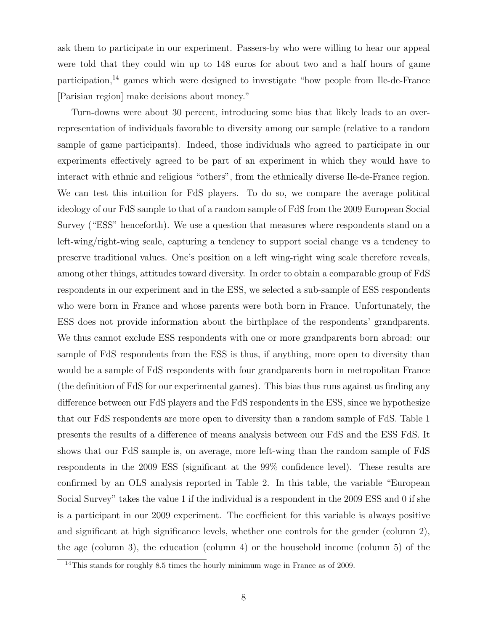ask them to participate in our experiment. Passers-by who were willing to hear our appeal were told that they could win up to 148 euros for about two and a half hours of game participation,<sup>14</sup> games which were designed to investigate "how people from Ile-de-France [Parisian region] make decisions about money."

Turn-downs were about 30 percent, introducing some bias that likely leads to an overrepresentation of individuals favorable to diversity among our sample (relative to a random sample of game participants). Indeed, those individuals who agreed to participate in our experiments effectively agreed to be part of an experiment in which they would have to interact with ethnic and religious "others", from the ethnically diverse Ile-de-France region. We can test this intuition for FdS players. To do so, we compare the average political ideology of our FdS sample to that of a random sample of FdS from the 2009 European Social Survey ("ESS" henceforth). We use a question that measures where respondents stand on a left-wing/right-wing scale, capturing a tendency to support social change vs a tendency to preserve traditional values. One's position on a left wing-right wing scale therefore reveals, among other things, attitudes toward diversity. In order to obtain a comparable group of FdS respondents in our experiment and in the ESS, we selected a sub-sample of ESS respondents who were born in France and whose parents were both born in France. Unfortunately, the ESS does not provide information about the birthplace of the respondents' grandparents. We thus cannot exclude ESS respondents with one or more grandparents born abroad: our sample of FdS respondents from the ESS is thus, if anything, more open to diversity than would be a sample of FdS respondents with four grandparents born in metropolitan France (the definition of FdS for our experimental games). This bias thus runs against us finding any difference between our FdS players and the FdS respondents in the ESS, since we hypothesize that our FdS respondents are more open to diversity than a random sample of FdS. Table 1 presents the results of a difference of means analysis between our FdS and the ESS FdS. It shows that our FdS sample is, on average, more left-wing than the random sample of FdS respondents in the 2009 ESS (significant at the 99% confidence level). These results are confirmed by an OLS analysis reported in Table 2. In this table, the variable "European Social Survey" takes the value 1 if the individual is a respondent in the 2009 ESS and 0 if she is a participant in our 2009 experiment. The coefficient for this variable is always positive and significant at high significance levels, whether one controls for the gender (column 2), the age (column 3), the education (column 4) or the household income (column 5) of the

<sup>&</sup>lt;sup>14</sup>This stands for roughly 8.5 times the hourly minimum wage in France as of 2009.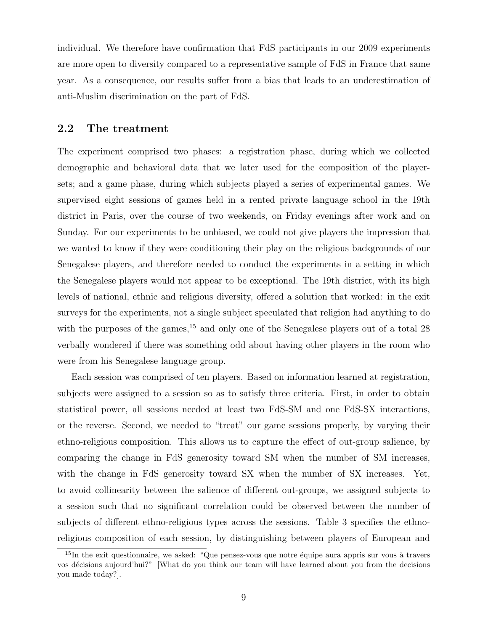individual. We therefore have confirmation that FdS participants in our 2009 experiments are more open to diversity compared to a representative sample of FdS in France that same year. As a consequence, our results suffer from a bias that leads to an underestimation of anti-Muslim discrimination on the part of FdS.

#### **2.2 The treatment**

The experiment comprised two phases: a registration phase, during which we collected demographic and behavioral data that we later used for the composition of the playersets; and a game phase, during which subjects played a series of experimental games. We supervised eight sessions of games held in a rented private language school in the 19th district in Paris, over the course of two weekends, on Friday evenings after work and on Sunday. For our experiments to be unbiased, we could not give players the impression that we wanted to know if they were conditioning their play on the religious backgrounds of our Senegalese players, and therefore needed to conduct the experiments in a setting in which the Senegalese players would not appear to be exceptional. The 19th district, with its high levels of national, ethnic and religious diversity, offered a solution that worked: in the exit surveys for the experiments, not a single subject speculated that religion had anything to do with the purposes of the games,  $15$  and only one of the Senegalese players out of a total 28 verbally wondered if there was something odd about having other players in the room who were from his Senegalese language group.

Each session was comprised of ten players. Based on information learned at registration, subjects were assigned to a session so as to satisfy three criteria. First, in order to obtain statistical power, all sessions needed at least two FdS-SM and one FdS-SX interactions, or the reverse. Second, we needed to "treat" our game sessions properly, by varying their ethno-religious composition. This allows us to capture the effect of out-group salience, by comparing the change in FdS generosity toward SM when the number of SM increases, with the change in FdS generosity toward SX when the number of SX increases. Yet, to avoid collinearity between the salience of different out-groups, we assigned subjects to a session such that no significant correlation could be observed between the number of subjects of different ethno-religious types across the sessions. Table 3 specifies the ethnoreligious composition of each session, by distinguishing between players of European and

 $15$ In the exit questionnaire, we asked: "Que pensez-vous que notre équipe aura appris sur vous à travers vos d´ecisions aujourd'hui?" [What do you think our team will have learned about you from the decisions you made today?].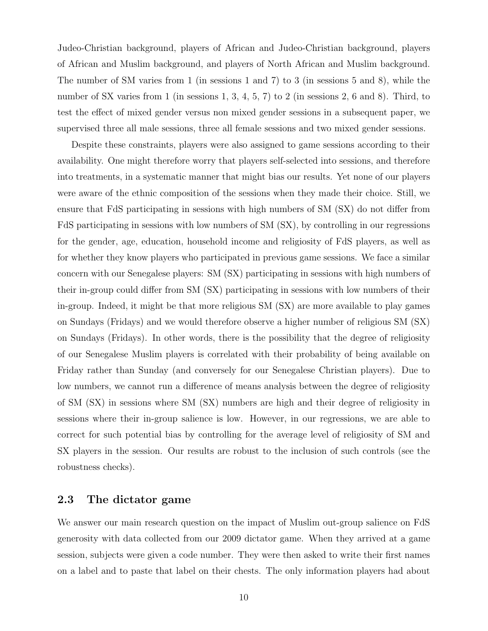Judeo-Christian background, players of African and Judeo-Christian background, players of African and Muslim background, and players of North African and Muslim background. The number of SM varies from 1 (in sessions 1 and 7) to 3 (in sessions 5 and 8), while the number of SX varies from 1 (in sessions 1, 3, 4, 5, 7) to 2 (in sessions 2, 6 and 8). Third, to test the effect of mixed gender versus non mixed gender sessions in a subsequent paper, we supervised three all male sessions, three all female sessions and two mixed gender sessions.

Despite these constraints, players were also assigned to game sessions according to their availability. One might therefore worry that players self-selected into sessions, and therefore into treatments, in a systematic manner that might bias our results. Yet none of our players were aware of the ethnic composition of the sessions when they made their choice. Still, we ensure that FdS participating in sessions with high numbers of SM (SX) do not differ from FdS participating in sessions with low numbers of SM (SX), by controlling in our regressions for the gender, age, education, household income and religiosity of FdS players, as well as for whether they know players who participated in previous game sessions. We face a similar concern with our Senegalese players: SM (SX) participating in sessions with high numbers of their in-group could differ from SM (SX) participating in sessions with low numbers of their in-group. Indeed, it might be that more religious SM (SX) are more available to play games on Sundays (Fridays) and we would therefore observe a higher number of religious SM (SX) on Sundays (Fridays). In other words, there is the possibility that the degree of religiosity of our Senegalese Muslim players is correlated with their probability of being available on Friday rather than Sunday (and conversely for our Senegalese Christian players). Due to low numbers, we cannot run a difference of means analysis between the degree of religiosity of SM (SX) in sessions where SM (SX) numbers are high and their degree of religiosity in sessions where their in-group salience is low. However, in our regressions, we are able to correct for such potential bias by controlling for the average level of religiosity of SM and SX players in the session. Our results are robust to the inclusion of such controls (see the robustness checks).

#### **2.3 The dictator game**

We answer our main research question on the impact of Muslim out-group salience on FdS generosity with data collected from our 2009 dictator game. When they arrived at a game session, subjects were given a code number. They were then asked to write their first names on a label and to paste that label on their chests. The only information players had about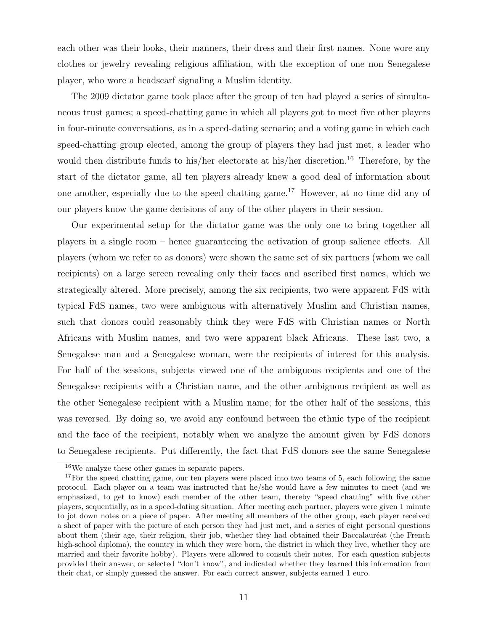each other was their looks, their manners, their dress and their first names. None wore any clothes or jewelry revealing religious affiliation, with the exception of one non Senegalese player, who wore a headscarf signaling a Muslim identity.

The 2009 dictator game took place after the group of ten had played a series of simultaneous trust games; a speed-chatting game in which all players got to meet five other players in four-minute conversations, as in a speed-dating scenario; and a voting game in which each speed-chatting group elected, among the group of players they had just met, a leader who would then distribute funds to his/her electorate at his/her discretion.<sup>16</sup> Therefore, by the start of the dictator game, all ten players already knew a good deal of information about one another, especially due to the speed chatting game.<sup>17</sup> However, at no time did any of our players know the game decisions of any of the other players in their session.

Our experimental setup for the dictator game was the only one to bring together all players in a single room – hence guaranteeing the activation of group salience effects. All players (whom we refer to as donors) were shown the same set of six partners (whom we call recipients) on a large screen revealing only their faces and ascribed first names, which we strategically altered. More precisely, among the six recipients, two were apparent FdS with typical FdS names, two were ambiguous with alternatively Muslim and Christian names, such that donors could reasonably think they were FdS with Christian names or North Africans with Muslim names, and two were apparent black Africans. These last two, a Senegalese man and a Senegalese woman, were the recipients of interest for this analysis. For half of the sessions, subjects viewed one of the ambiguous recipients and one of the Senegalese recipients with a Christian name, and the other ambiguous recipient as well as the other Senegalese recipient with a Muslim name; for the other half of the sessions, this was reversed. By doing so, we avoid any confound between the ethnic type of the recipient and the face of the recipient, notably when we analyze the amount given by FdS donors to Senegalese recipients. Put differently, the fact that FdS donors see the same Senegalese

<sup>16</sup>We analyze these other games in separate papers.

<sup>&</sup>lt;sup>17</sup>For the speed chatting game, our ten players were placed into two teams of 5, each following the same protocol. Each player on a team was instructed that he/she would have a few minutes to meet (and we emphasized, to get to know) each member of the other team, thereby "speed chatting" with five other players, sequentially, as in a speed-dating situation. After meeting each partner, players were given 1 minute to jot down notes on a piece of paper. After meeting all members of the other group, each player received a sheet of paper with the picture of each person they had just met, and a series of eight personal questions about them (their age, their religion, their job, whether they had obtained their Baccalauréat (the French high-school diploma), the country in which they were born, the district in which they live, whether they are married and their favorite hobby). Players were allowed to consult their notes. For each question subjects provided their answer, or selected "don't know", and indicated whether they learned this information from their chat, or simply guessed the answer. For each correct answer, subjects earned 1 euro.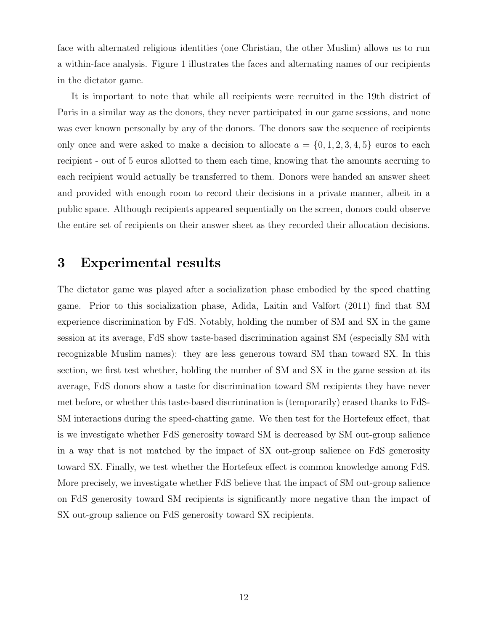face with alternated religious identities (one Christian, the other Muslim) allows us to run a within-face analysis. Figure 1 illustrates the faces and alternating names of our recipients in the dictator game.

It is important to note that while all recipients were recruited in the 19th district of Paris in a similar way as the donors, they never participated in our game sessions, and none was ever known personally by any of the donors. The donors saw the sequence of recipients only once and were asked to make a decision to allocate  $a = \{0, 1, 2, 3, 4, 5\}$  euros to each recipient - out of 5 euros allotted to them each time, knowing that the amounts accruing to each recipient would actually be transferred to them. Donors were handed an answer sheet and provided with enough room to record their decisions in a private manner, albeit in a public space. Although recipients appeared sequentially on the screen, donors could observe the entire set of recipients on their answer sheet as they recorded their allocation decisions.

### **3 Experimental results**

The dictator game was played after a socialization phase embodied by the speed chatting game. Prior to this socialization phase, Adida, Laitin and Valfort (2011) find that SM experience discrimination by FdS. Notably, holding the number of SM and SX in the game session at its average, FdS show taste-based discrimination against SM (especially SM with recognizable Muslim names): they are less generous toward SM than toward SX. In this section, we first test whether, holding the number of SM and SX in the game session at its average, FdS donors show a taste for discrimination toward SM recipients they have never met before, or whether this taste-based discrimination is (temporarily) erased thanks to FdS-SM interactions during the speed-chatting game. We then test for the Hortefeux effect, that is we investigate whether FdS generosity toward SM is decreased by SM out-group salience in a way that is not matched by the impact of SX out-group salience on FdS generosity toward SX. Finally, we test whether the Hortefeux effect is common knowledge among FdS. More precisely, we investigate whether FdS believe that the impact of SM out-group salience on FdS generosity toward SM recipients is significantly more negative than the impact of SX out-group salience on FdS generosity toward SX recipients.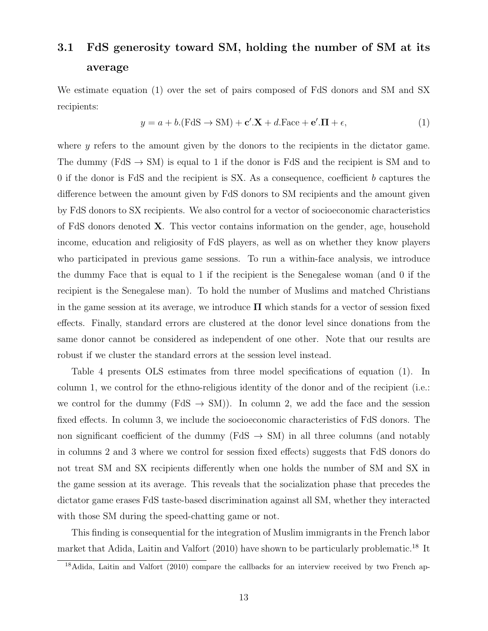# **3.1 FdS generosity toward SM, holding the number of SM at its average**

We estimate equation (1) over the set of pairs composed of FdS donors and SM and SX recipients:

$$
y = a + b(\text{FdS} \to \text{SM}) + \mathbf{c}' \cdot \mathbf{X} + d.\text{Face} + \mathbf{e}' \cdot \mathbf{\Pi} + \epsilon,
$$
\n(1)

where *y* refers to the amount given by the donors to the recipients in the dictator game. The dummy (FdS *→* SM) is equal to 1 if the donor is FdS and the recipient is SM and to 0 if the donor is FdS and the recipient is SX. As a consequence, coefficient *b* captures the difference between the amount given by FdS donors to SM recipients and the amount given by FdS donors to SX recipients. We also control for a vector of socioeconomic characteristics of FdS donors denoted **X**. This vector contains information on the gender, age, household income, education and religiosity of FdS players, as well as on whether they know players who participated in previous game sessions. To run a within-face analysis, we introduce the dummy Face that is equal to 1 if the recipient is the Senegalese woman (and 0 if the recipient is the Senegalese man). To hold the number of Muslims and matched Christians in the game session at its average, we introduce **Π** which stands for a vector of session fixed effects. Finally, standard errors are clustered at the donor level since donations from the same donor cannot be considered as independent of one other. Note that our results are robust if we cluster the standard errors at the session level instead.

Table 4 presents OLS estimates from three model specifications of equation (1). In column 1, we control for the ethno-religious identity of the donor and of the recipient (i.e.: we control for the dummy (FdS  $\rightarrow$  SM)). In column 2, we add the face and the session fixed effects. In column 3, we include the socioeconomic characteristics of FdS donors. The non significant coefficient of the dummy ( $FdS \rightarrow SM$ ) in all three columns (and notably in columns 2 and 3 where we control for session fixed effects) suggests that FdS donors do not treat SM and SX recipients differently when one holds the number of SM and SX in the game session at its average. This reveals that the socialization phase that precedes the dictator game erases FdS taste-based discrimination against all SM, whether they interacted with those SM during the speed-chatting game or not.

This finding is consequential for the integration of Muslim immigrants in the French labor market that Adida, Laitin and Valfort  $(2010)$  have shown to be particularly problematic.<sup>18</sup> It

 $18$ Adida, Laitin and Valfort (2010) compare the callbacks for an interview received by two French ap-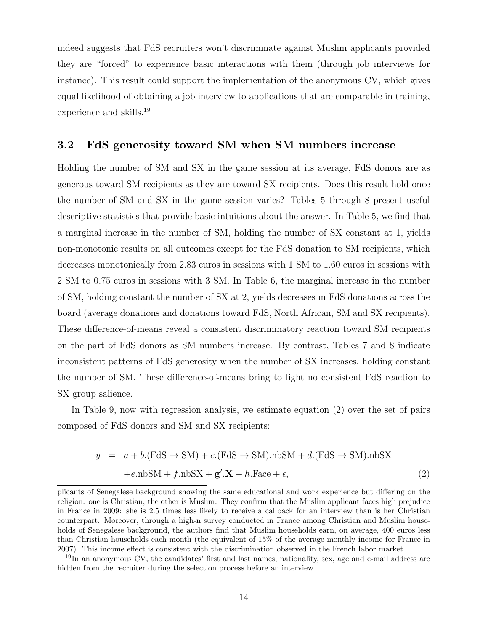indeed suggests that FdS recruiters won't discriminate against Muslim applicants provided they are "forced" to experience basic interactions with them (through job interviews for instance). This result could support the implementation of the anonymous CV, which gives equal likelihood of obtaining a job interview to applications that are comparable in training, experience and skills.<sup>19</sup>

#### **3.2 FdS generosity toward SM when SM numbers increase**

Holding the number of SM and SX in the game session at its average, FdS donors are as generous toward SM recipients as they are toward SX recipients. Does this result hold once the number of SM and SX in the game session varies? Tables 5 through 8 present useful descriptive statistics that provide basic intuitions about the answer. In Table 5, we find that a marginal increase in the number of SM, holding the number of SX constant at 1, yields non-monotonic results on all outcomes except for the FdS donation to SM recipients, which decreases monotonically from 2.83 euros in sessions with 1 SM to 1.60 euros in sessions with 2 SM to 0.75 euros in sessions with 3 SM. In Table 6, the marginal increase in the number of SM, holding constant the number of SX at 2, yields decreases in FdS donations across the board (average donations and donations toward FdS, North African, SM and SX recipients). These difference-of-means reveal a consistent discriminatory reaction toward SM recipients on the part of FdS donors as SM numbers increase. By contrast, Tables 7 and 8 indicate inconsistent patterns of FdS generosity when the number of SX increases, holding constant the number of SM. These difference-of-means bring to light no consistent FdS reaction to SX group salience.

In Table 9, now with regression analysis, we estimate equation (2) over the set of pairs composed of FdS donors and SM and SX recipients:

$$
y = a + b(\text{FdS} \to \text{SM}) + c(\text{FdS} \to \text{SM}).\text{nbSM} + d(\text{FdS} \to \text{SM}).\text{nbSX} +e.\text{nbSM} + f.\text{nbSX} + g'.\mathbf{X} + h.\text{Face} + \epsilon,
$$
 (2)

plicants of Senegalese background showing the same educational and work experience but differing on the religion: one is Christian, the other is Muslim. They confirm that the Muslim applicant faces high prejudice in France in 2009: she is 2.5 times less likely to receive a callback for an interview than is her Christian counterpart. Moreover, through a high-n survey conducted in France among Christian and Muslim households of Senegalese background, the authors find that Muslim households earn, on average, 400 euros less than Christian households each month (the equivalent of 15% of the average monthly income for France in 2007). This income effect is consistent with the discrimination observed in the French labor market.

<sup>19</sup>In an anonymous CV, the candidates' first and last names, nationality, sex, age and e-mail address are hidden from the recruiter during the selection process before an interview.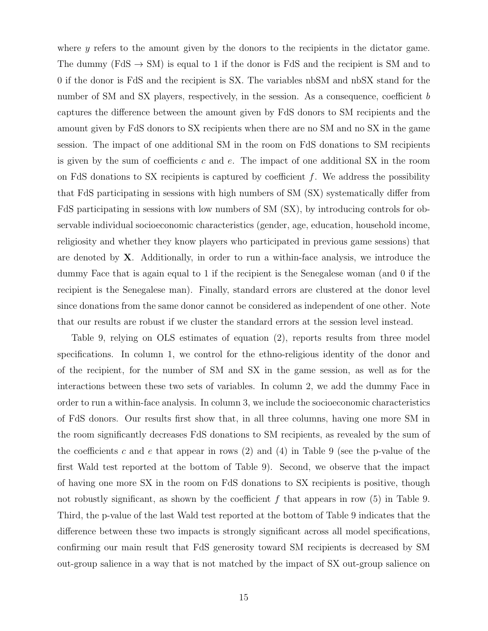where *y* refers to the amount given by the donors to the recipients in the dictator game. The dummy (FdS  $\rightarrow$  SM) is equal to 1 if the donor is FdS and the recipient is SM and to 0 if the donor is FdS and the recipient is SX. The variables nbSM and nbSX stand for the number of SM and SX players, respectively, in the session. As a consequence, coefficient *b* captures the difference between the amount given by FdS donors to SM recipients and the amount given by FdS donors to SX recipients when there are no SM and no SX in the game session. The impact of one additional SM in the room on FdS donations to SM recipients is given by the sum of coefficients *c* and *e*. The impact of one additional SX in the room on FdS donations to SX recipients is captured by coefficient *f*. We address the possibility that FdS participating in sessions with high numbers of SM (SX) systematically differ from FdS participating in sessions with low numbers of SM (SX), by introducing controls for observable individual socioeconomic characteristics (gender, age, education, household income, religiosity and whether they know players who participated in previous game sessions) that are denoted by **X**. Additionally, in order to run a within-face analysis, we introduce the dummy Face that is again equal to 1 if the recipient is the Senegalese woman (and 0 if the recipient is the Senegalese man). Finally, standard errors are clustered at the donor level since donations from the same donor cannot be considered as independent of one other. Note that our results are robust if we cluster the standard errors at the session level instead.

Table 9, relying on OLS estimates of equation (2), reports results from three model specifications. In column 1, we control for the ethno-religious identity of the donor and of the recipient, for the number of SM and SX in the game session, as well as for the interactions between these two sets of variables. In column 2, we add the dummy Face in order to run a within-face analysis. In column 3, we include the socioeconomic characteristics of FdS donors. Our results first show that, in all three columns, having one more SM in the room significantly decreases FdS donations to SM recipients, as revealed by the sum of the coefficients *c* and *e* that appear in rows (2) and (4) in Table 9 (see the p-value of the first Wald test reported at the bottom of Table 9). Second, we observe that the impact of having one more SX in the room on FdS donations to SX recipients is positive, though not robustly significant, as shown by the coefficient *f* that appears in row (5) in Table 9. Third, the p-value of the last Wald test reported at the bottom of Table 9 indicates that the difference between these two impacts is strongly significant across all model specifications, confirming our main result that FdS generosity toward SM recipients is decreased by SM out-group salience in a way that is not matched by the impact of SX out-group salience on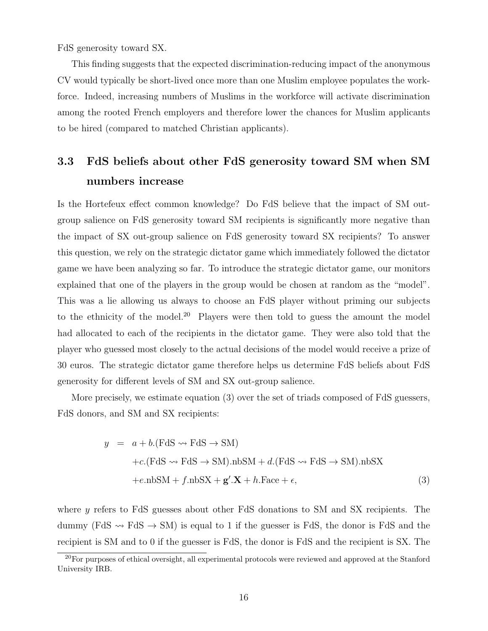FdS generosity toward SX.

This finding suggests that the expected discrimination-reducing impact of the anonymous CV would typically be short-lived once more than one Muslim employee populates the workforce. Indeed, increasing numbers of Muslims in the workforce will activate discrimination among the rooted French employers and therefore lower the chances for Muslim applicants to be hired (compared to matched Christian applicants).

# **3.3 FdS beliefs about other FdS generosity toward SM when SM numbers increase**

Is the Hortefeux effect common knowledge? Do FdS believe that the impact of SM outgroup salience on FdS generosity toward SM recipients is significantly more negative than the impact of SX out-group salience on FdS generosity toward SX recipients? To answer this question, we rely on the strategic dictator game which immediately followed the dictator game we have been analyzing so far. To introduce the strategic dictator game, our monitors explained that one of the players in the group would be chosen at random as the "model". This was a lie allowing us always to choose an FdS player without priming our subjects to the ethnicity of the model.<sup>20</sup> Players were then told to guess the amount the model had allocated to each of the recipients in the dictator game. They were also told that the player who guessed most closely to the actual decisions of the model would receive a prize of 30 euros. The strategic dictator game therefore helps us determine FdS beliefs about FdS generosity for different levels of SM and SX out-group salience.

More precisely, we estimate equation (3) over the set of triads composed of FdS guessers, FdS donors, and SM and SX recipients:

$$
y = a + b(\text{FdS} \rightsquigarrow \text{FdS} \rightarrow \text{SM})
$$
  
+c. (FdS \rightsquigarrow \text{FdS} \rightarrow \text{SM}).nbSM + d. (FdS \rightsquigarrow \text{FdS} \rightarrow \text{SM}).nbSX  
+e.nbSM + f.nbSX + g'.X + h.Face +  $\epsilon$ , (3)

where *y* refers to FdS guesses about other FdS donations to SM and SX recipients. The dummy (FdS  $\rightarrow$  FdS  $\rightarrow$  SM) is equal to 1 if the guesser is FdS, the donor is FdS and the recipient is SM and to 0 if the guesser is FdS, the donor is FdS and the recipient is SX. The

 $^{20}$ For purposes of ethical oversight, all experimental protocols were reviewed and approved at the Stanford University IRB.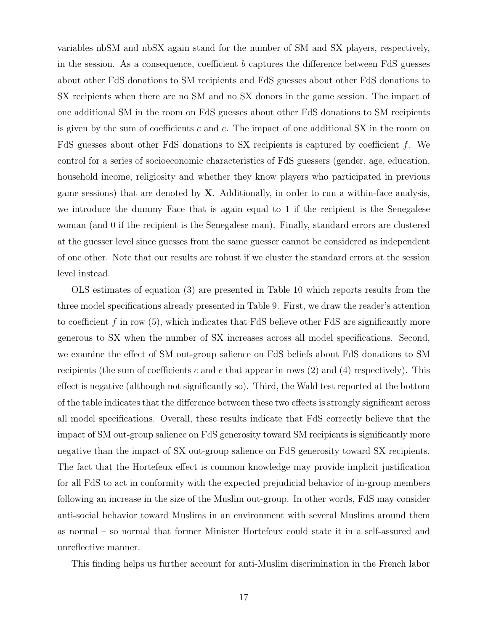variables nbSM and nbSX again stand for the number of SM and SX players, respectively, in the session. As a consequence, coefficient *b* captures the difference between FdS guesses about other FdS donations to SM recipients and FdS guesses about other FdS donations to SX recipients when there are no SM and no SX donors in the game session. The impact of one additional SM in the room on FdS guesses about other FdS donations to SM recipients is given by the sum of coefficients *c* and *e*. The impact of one additional SX in the room on FdS guesses about other FdS donations to SX recipients is captured by coefficient *f*. We control for a series of socioeconomic characteristics of FdS guessers (gender, age, education, household income, religiosity and whether they know players who participated in previous game sessions) that are denoted by **X**. Additionally, in order to run a within-face analysis, we introduce the dummy Face that is again equal to 1 if the recipient is the Senegalese woman (and 0 if the recipient is the Senegalese man). Finally, standard errors are clustered at the guesser level since guesses from the same guesser cannot be considered as independent of one other. Note that our results are robust if we cluster the standard errors at the session level instead.

OLS estimates of equation (3) are presented in Table 10 which reports results from the three model specifications already presented in Table 9. First, we draw the reader's attention to coefficient *f* in row (5), which indicates that FdS believe other FdS are significantly more generous to SX when the number of SX increases across all model specifications. Second, we examine the effect of SM out-group salience on FdS beliefs about FdS donations to SM recipients (the sum of coefficients *c* and *e* that appear in rows (2) and (4) respectively). This effect is negative (although not significantly so). Third, the Wald test reported at the bottom of the table indicates that the difference between these two effects is strongly significant across all model specifications. Overall, these results indicate that FdS correctly believe that the impact of SM out-group salience on FdS generosity toward SM recipients is significantly more negative than the impact of SX out-group salience on FdS generosity toward SX recipients. The fact that the Hortefeux effect is common knowledge may provide implicit justification for all FdS to act in conformity with the expected prejudicial behavior of in-group members following an increase in the size of the Muslim out-group. In other words, FdS may consider anti-social behavior toward Muslims in an environment with several Muslims around them as normal – so normal that former Minister Hortefeux could state it in a self-assured and unreflective manner.

This finding helps us further account for anti-Muslim discrimination in the French labor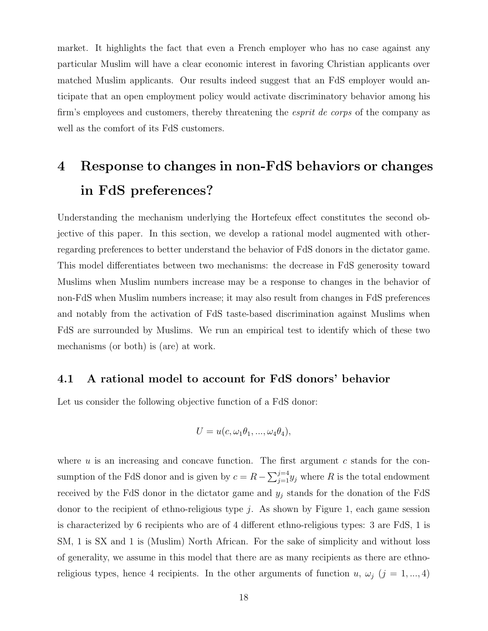market. It highlights the fact that even a French employer who has no case against any particular Muslim will have a clear economic interest in favoring Christian applicants over matched Muslim applicants. Our results indeed suggest that an FdS employer would anticipate that an open employment policy would activate discriminatory behavior among his firm's employees and customers, thereby threatening the *esprit de corps* of the company as well as the comfort of its FdS customers.

# **4 Response to changes in non-FdS behaviors or changes in FdS preferences?**

Understanding the mechanism underlying the Hortefeux effect constitutes the second objective of this paper. In this section, we develop a rational model augmented with otherregarding preferences to better understand the behavior of FdS donors in the dictator game. This model differentiates between two mechanisms: the decrease in FdS generosity toward Muslims when Muslim numbers increase may be a response to changes in the behavior of non-FdS when Muslim numbers increase; it may also result from changes in FdS preferences and notably from the activation of FdS taste-based discrimination against Muslims when FdS are surrounded by Muslims. We run an empirical test to identify which of these two mechanisms (or both) is (are) at work.

#### **4.1 A rational model to account for FdS donors' behavior**

Let us consider the following objective function of a FdS donor:

$$
U = u(c, \omega_1 \theta_1, ..., \omega_4 \theta_4),
$$

where *u* is an increasing and concave function. The first argument *c* stands for the consumption of the FdS donor and is given by  $c = R - \sum_{j=1}^{j=4} y_j$  where R is the total endowment received by the FdS donor in the dictator game and *y<sup>j</sup>* stands for the donation of the FdS donor to the recipient of ethno-religious type *j*. As shown by Figure 1, each game session is characterized by 6 recipients who are of 4 different ethno-religious types: 3 are FdS, 1 is SM, 1 is SX and 1 is (Muslim) North African. For the sake of simplicity and without loss of generality, we assume in this model that there are as many recipients as there are ethnoreligious types, hence 4 recipients. In the other arguments of function *u*,  $\omega_j$  (*j* = 1, ..., 4)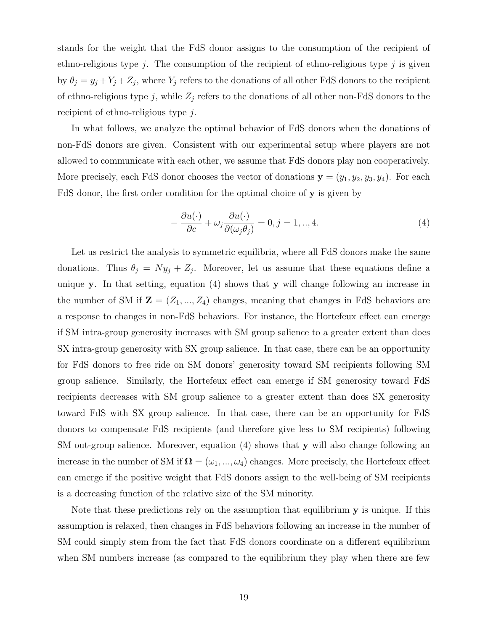stands for the weight that the FdS donor assigns to the consumption of the recipient of ethno-religious type *j*. The consumption of the recipient of ethno-religious type *j* is given by  $\theta_j = y_j + Y_j + Z_j$ , where  $Y_j$  refers to the donations of all other FdS donors to the recipient of ethno-religious type  $j$ , while  $Z_j$  refers to the donations of all other non-FdS donors to the recipient of ethno-religious type *j*.

In what follows, we analyze the optimal behavior of FdS donors when the donations of non-FdS donors are given. Consistent with our experimental setup where players are not allowed to communicate with each other, we assume that FdS donors play non cooperatively. More precisely, each FdS donor chooses the vector of donations  $\mathbf{y} = (y_1, y_2, y_3, y_4)$ . For each FdS donor, the first order condition for the optimal choice of **y** is given by

$$
-\frac{\partial u(\cdot)}{\partial c} + \omega_j \frac{\partial u(\cdot)}{\partial (\omega_j \theta_j)} = 0, j = 1, ..., 4.
$$
\n(4)

Let us restrict the analysis to symmetric equilibria, where all FdS donors make the same donations. Thus  $\theta_j = Ny_j + Z_j$ . Moreover, let us assume that these equations define a unique **y**. In that setting, equation (4) shows that **y** will change following an increase in the number of SM if  $\mathbf{Z} = (Z_1, ..., Z_4)$  changes, meaning that changes in FdS behaviors are a response to changes in non-FdS behaviors. For instance, the Hortefeux effect can emerge if SM intra-group generosity increases with SM group salience to a greater extent than does SX intra-group generosity with SX group salience. In that case, there can be an opportunity for FdS donors to free ride on SM donors' generosity toward SM recipients following SM group salience. Similarly, the Hortefeux effect can emerge if SM generosity toward FdS recipients decreases with SM group salience to a greater extent than does SX generosity toward FdS with SX group salience. In that case, there can be an opportunity for FdS donors to compensate FdS recipients (and therefore give less to SM recipients) following SM out-group salience. Moreover, equation (4) shows that **y** will also change following an increase in the number of SM if  $\mathbf{\Omega} = (\omega_1, ..., \omega_4)$  changes. More precisely, the Hortefeux effect can emerge if the positive weight that FdS donors assign to the well-being of SM recipients is a decreasing function of the relative size of the SM minority.

Note that these predictions rely on the assumption that equilibrium **y** is unique. If this assumption is relaxed, then changes in FdS behaviors following an increase in the number of SM could simply stem from the fact that FdS donors coordinate on a different equilibrium when SM numbers increase (as compared to the equilibrium they play when there are few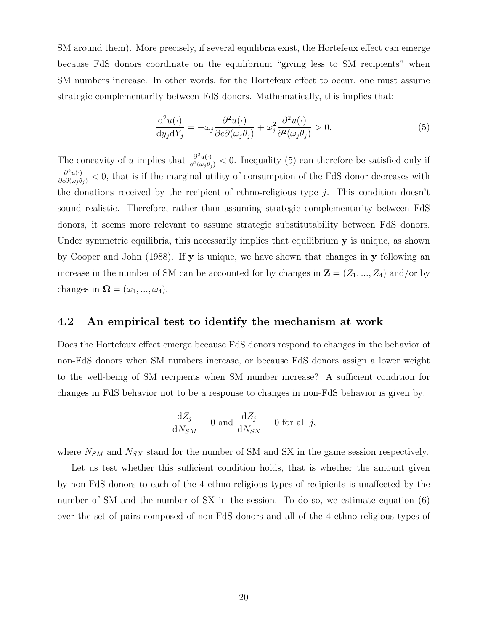SM around them). More precisely, if several equilibria exist, the Hortefeux effect can emerge because FdS donors coordinate on the equilibrium "giving less to SM recipients" when SM numbers increase. In other words, for the Hortefeux effect to occur, one must assume strategic complementarity between FdS donors. Mathematically, this implies that:

$$
\frac{\mathrm{d}^2 u(\cdot)}{\mathrm{d}y_j \mathrm{d}Y_j} = -\omega_j \frac{\partial^2 u(\cdot)}{\partial c \partial (\omega_j \theta_j)} + \omega_j^2 \frac{\partial^2 u(\cdot)}{\partial^2 (\omega_j \theta_j)} > 0. \tag{5}
$$

The concavity of *u* implies that  $\frac{\partial^2 u(\cdot)}{\partial^2(\omega_j \theta_j)} < 0$ . Inequality (5) can therefore be satisfied only if  $\frac{\partial^2 u(\cdot)}{\partial c\partial(\omega_j\theta_j)}$  < 0, that is if the marginal utility of consumption of the FdS donor decreases with the donations received by the recipient of ethno-religious type *j*. This condition doesn't sound realistic. Therefore, rather than assuming strategic complementarity between FdS donors, it seems more relevant to assume strategic substitutability between FdS donors. Under symmetric equilibria, this necessarily implies that equilibrium **y** is unique, as shown by Cooper and John (1988). If **y** is unique, we have shown that changes in **y** following an increase in the number of SM can be accounted for by changes in  $\mathbf{Z} = (Z_1, ..., Z_4)$  and/or by changes in  $\mathbf{\Omega} = (\omega_1, ..., \omega_4)$ .

#### **4.2 An empirical test to identify the mechanism at work**

Does the Hortefeux effect emerge because FdS donors respond to changes in the behavior of non-FdS donors when SM numbers increase, or because FdS donors assign a lower weight to the well-being of SM recipients when SM number increase? A sufficient condition for changes in FdS behavior not to be a response to changes in non-FdS behavior is given by:

$$
\frac{\mathrm{d}Z_j}{\mathrm{d}N_{SM}} = 0 \text{ and } \frac{\mathrm{d}Z_j}{\mathrm{d}N_{SX}} = 0 \text{ for all } j,
$$

where  $N_{SM}$  and  $N_{SX}$  stand for the number of SM and SX in the game session respectively.

Let us test whether this sufficient condition holds, that is whether the amount given by non-FdS donors to each of the 4 ethno-religious types of recipients is unaffected by the number of SM and the number of SX in the session. To do so, we estimate equation (6) over the set of pairs composed of non-FdS donors and all of the 4 ethno-religious types of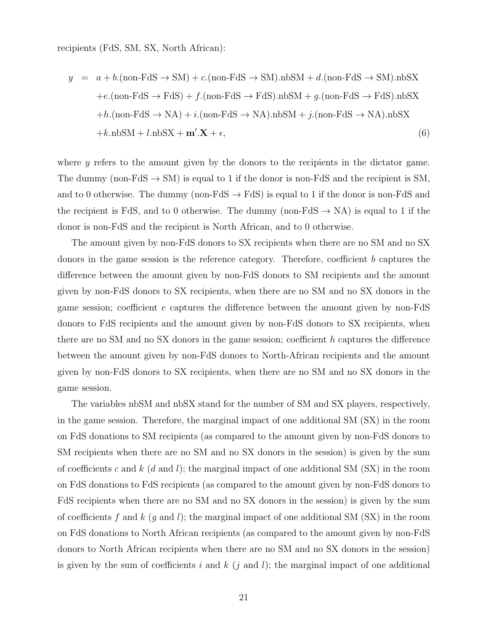recipients (FdS, SM, SX, North African):

$$
y = a + b.(\text{non-FdS} \rightarrow \text{SM}) + c.(\text{non-FdS} \rightarrow \text{SM}).\text{nbSM} + d.(\text{non-FdS} \rightarrow \text{SM}).\text{nbSX} + e.(\text{non-FdS} \rightarrow \text{FdS}) + f.(\text{non-FdS} \rightarrow \text{FdS}).\text{nbSM} + g.(\text{non-FdS} \rightarrow \text{FdS}).\text{nbSX} + h.(\text{non-FdS} \rightarrow \text{NA}) + i.(\text{non-FdS} \rightarrow \text{NA}).\text{nbSM} + j.(\text{non-FdS} \rightarrow \text{NA}).\text{nbSX} + k. \text{nbSM} + l. \text{nbSX} + \mathbf{m'}. \mathbf{X} + \epsilon,
$$
 (6)

where *y* refers to the amount given by the donors to the recipients in the dictator game. The dummy (non-FdS  $\rightarrow$  SM) is equal to 1 if the donor is non-FdS and the recipient is SM, and to 0 otherwise. The dummy (non-FdS  $\rightarrow$  FdS) is equal to 1 if the donor is non-FdS and the recipient is FdS, and to 0 otherwise. The dummy (non-FdS  $\rightarrow$  NA) is equal to 1 if the donor is non-FdS and the recipient is North African, and to 0 otherwise.

The amount given by non-FdS donors to SX recipients when there are no SM and no SX donors in the game session is the reference category. Therefore, coefficient *b* captures the difference between the amount given by non-FdS donors to SM recipients and the amount given by non-FdS donors to SX recipients, when there are no SM and no SX donors in the game session; coefficient *e* captures the difference between the amount given by non-FdS donors to FdS recipients and the amount given by non-FdS donors to SX recipients, when there are no SM and no SX donors in the game session; coefficient *h* captures the difference between the amount given by non-FdS donors to North-African recipients and the amount given by non-FdS donors to SX recipients, when there are no SM and no SX donors in the game session.

The variables nbSM and nbSX stand for the number of SM and SX players, respectively, in the game session. Therefore, the marginal impact of one additional SM (SX) in the room on FdS donations to SM recipients (as compared to the amount given by non-FdS donors to SM recipients when there are no SM and no SX donors in the session) is given by the sum of coefficients *c* and *k* (*d* and *l*); the marginal impact of one additional SM (SX) in the room on FdS donations to FdS recipients (as compared to the amount given by non-FdS donors to FdS recipients when there are no SM and no SX donors in the session) is given by the sum of coefficients *f* and *k* (*g* and *l*); the marginal impact of one additional SM (SX) in the room on FdS donations to North African recipients (as compared to the amount given by non-FdS donors to North African recipients when there are no SM and no SX donors in the session) is given by the sum of coefficients  $i$  and  $k$  ( $j$  and  $l$ ); the marginal impact of one additional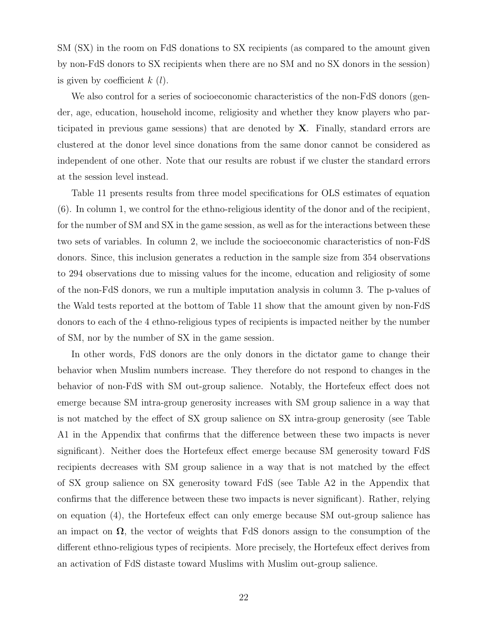SM (SX) in the room on FdS donations to SX recipients (as compared to the amount given by non-FdS donors to SX recipients when there are no SM and no SX donors in the session) is given by coefficient *k* (*l*).

We also control for a series of socioeconomic characteristics of the non-FdS donors (gender, age, education, household income, religiosity and whether they know players who participated in previous game sessions) that are denoted by **X**. Finally, standard errors are clustered at the donor level since donations from the same donor cannot be considered as independent of one other. Note that our results are robust if we cluster the standard errors at the session level instead.

Table 11 presents results from three model specifications for OLS estimates of equation (6). In column 1, we control for the ethno-religious identity of the donor and of the recipient, for the number of SM and SX in the game session, as well as for the interactions between these two sets of variables. In column 2, we include the socioeconomic characteristics of non-FdS donors. Since, this inclusion generates a reduction in the sample size from 354 observations to 294 observations due to missing values for the income, education and religiosity of some of the non-FdS donors, we run a multiple imputation analysis in column 3. The p-values of the Wald tests reported at the bottom of Table 11 show that the amount given by non-FdS donors to each of the 4 ethno-religious types of recipients is impacted neither by the number of SM, nor by the number of SX in the game session.

In other words, FdS donors are the only donors in the dictator game to change their behavior when Muslim numbers increase. They therefore do not respond to changes in the behavior of non-FdS with SM out-group salience. Notably, the Hortefeux effect does not emerge because SM intra-group generosity increases with SM group salience in a way that is not matched by the effect of SX group salience on SX intra-group generosity (see Table A1 in the Appendix that confirms that the difference between these two impacts is never significant). Neither does the Hortefeux effect emerge because SM generosity toward FdS recipients decreases with SM group salience in a way that is not matched by the effect of SX group salience on SX generosity toward FdS (see Table A2 in the Appendix that confirms that the difference between these two impacts is never significant). Rather, relying on equation (4), the Hortefeux effect can only emerge because SM out-group salience has an impact on  $\Omega$ , the vector of weights that FdS donors assign to the consumption of the different ethno-religious types of recipients. More precisely, the Hortefeux effect derives from an activation of FdS distaste toward Muslims with Muslim out-group salience.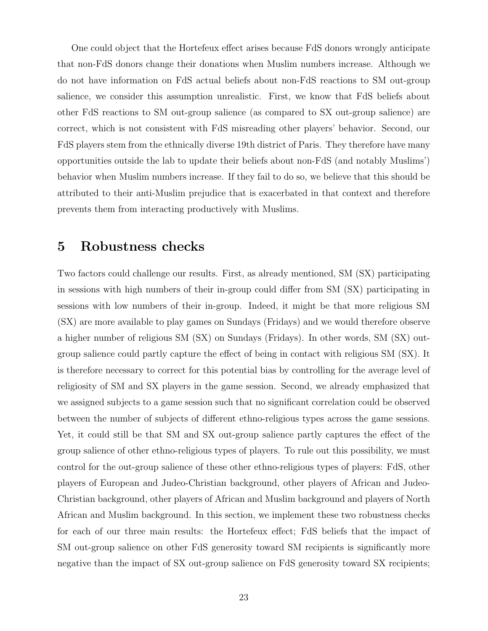One could object that the Hortefeux effect arises because FdS donors wrongly anticipate that non-FdS donors change their donations when Muslim numbers increase. Although we do not have information on FdS actual beliefs about non-FdS reactions to SM out-group salience, we consider this assumption unrealistic. First, we know that FdS beliefs about other FdS reactions to SM out-group salience (as compared to SX out-group salience) are correct, which is not consistent with FdS misreading other players' behavior. Second, our FdS players stem from the ethnically diverse 19th district of Paris. They therefore have many opportunities outside the lab to update their beliefs about non-FdS (and notably Muslims') behavior when Muslim numbers increase. If they fail to do so, we believe that this should be attributed to their anti-Muslim prejudice that is exacerbated in that context and therefore prevents them from interacting productively with Muslims.

### **5 Robustness checks**

Two factors could challenge our results. First, as already mentioned, SM (SX) participating in sessions with high numbers of their in-group could differ from SM (SX) participating in sessions with low numbers of their in-group. Indeed, it might be that more religious SM (SX) are more available to play games on Sundays (Fridays) and we would therefore observe a higher number of religious SM (SX) on Sundays (Fridays). In other words, SM (SX) outgroup salience could partly capture the effect of being in contact with religious SM (SX). It is therefore necessary to correct for this potential bias by controlling for the average level of religiosity of SM and SX players in the game session. Second, we already emphasized that we assigned subjects to a game session such that no significant correlation could be observed between the number of subjects of different ethno-religious types across the game sessions. Yet, it could still be that SM and SX out-group salience partly captures the effect of the group salience of other ethno-religious types of players. To rule out this possibility, we must control for the out-group salience of these other ethno-religious types of players: FdS, other players of European and Judeo-Christian background, other players of African and Judeo-Christian background, other players of African and Muslim background and players of North African and Muslim background. In this section, we implement these two robustness checks for each of our three main results: the Hortefeux effect; FdS beliefs that the impact of SM out-group salience on other FdS generosity toward SM recipients is significantly more negative than the impact of SX out-group salience on FdS generosity toward SX recipients;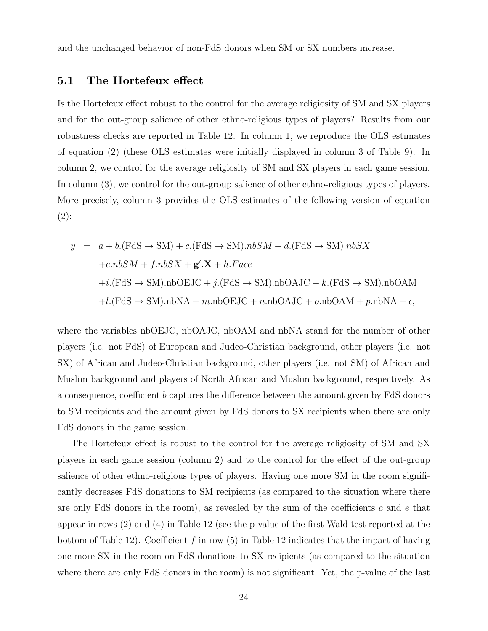and the unchanged behavior of non-FdS donors when SM or SX numbers increase.

#### **5.1 The Hortefeux effect**

Is the Hortefeux effect robust to the control for the average religiosity of SM and SX players and for the out-group salience of other ethno-religious types of players? Results from our robustness checks are reported in Table 12. In column 1, we reproduce the OLS estimates of equation (2) (these OLS estimates were initially displayed in column 3 of Table 9). In column 2, we control for the average religiosity of SM and SX players in each game session. In column (3), we control for the out-group salience of other ethno-religious types of players. More precisely, column 3 provides the OLS estimates of the following version of equation  $(2)$ :

$$
y = a + b(\text{FdS} \rightarrow \text{SM}) + c(\text{FdS} \rightarrow \text{SM}).nbSM + d(\text{FdS} \rightarrow \text{SM}).nbSX
$$
  
+e.nbSM + f.nbSX +  $\mathbf{g}' \cdot \mathbf{X} + h.Face$   
+i.(FdS \rightarrow SM).nbOEJC + j.(FdS \rightarrow SM).nbOAJC + k.(FdS \rightarrow SM).nbOAM  
+l.(FdS \rightarrow SM).nbNA + m.nbOEJC + n.nbOAJC + o.nbOAM + p.nbNA +  $\epsilon$ ,

where the variables nbOEJC, nbOAJC, nbOAM and nbNA stand for the number of other players (i.e. not FdS) of European and Judeo-Christian background, other players (i.e. not SX) of African and Judeo-Christian background, other players (i.e. not SM) of African and Muslim background and players of North African and Muslim background, respectively. As a consequence, coefficient *b* captures the difference between the amount given by FdS donors to SM recipients and the amount given by FdS donors to SX recipients when there are only FdS donors in the game session.

The Hortefeux effect is robust to the control for the average religiosity of SM and SX players in each game session (column 2) and to the control for the effect of the out-group salience of other ethno-religious types of players. Having one more SM in the room significantly decreases FdS donations to SM recipients (as compared to the situation where there are only FdS donors in the room), as revealed by the sum of the coefficients *c* and *e* that appear in rows (2) and (4) in Table 12 (see the p-value of the first Wald test reported at the bottom of Table 12). Coefficient *f* in row (5) in Table 12 indicates that the impact of having one more SX in the room on FdS donations to SX recipients (as compared to the situation where there are only FdS donors in the room) is not significant. Yet, the p-value of the last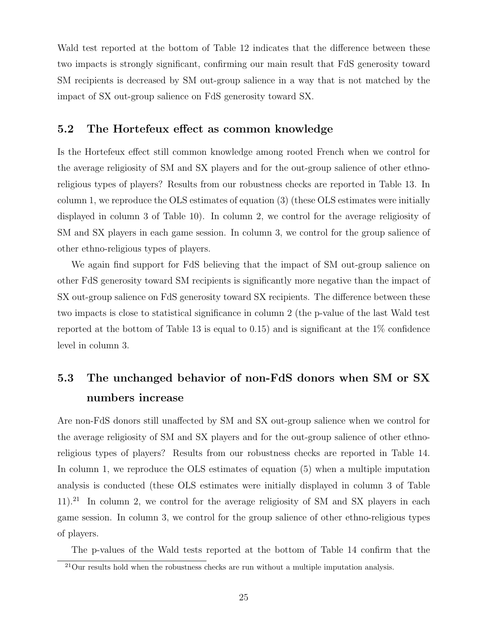Wald test reported at the bottom of Table 12 indicates that the difference between these two impacts is strongly significant, confirming our main result that FdS generosity toward SM recipients is decreased by SM out-group salience in a way that is not matched by the impact of SX out-group salience on FdS generosity toward SX.

#### **5.2 The Hortefeux effect as common knowledge**

Is the Hortefeux effect still common knowledge among rooted French when we control for the average religiosity of SM and SX players and for the out-group salience of other ethnoreligious types of players? Results from our robustness checks are reported in Table 13. In column 1, we reproduce the OLS estimates of equation (3) (these OLS estimates were initially displayed in column 3 of Table 10). In column 2, we control for the average religiosity of SM and SX players in each game session. In column 3, we control for the group salience of other ethno-religious types of players.

We again find support for FdS believing that the impact of SM out-group salience on other FdS generosity toward SM recipients is significantly more negative than the impact of SX out-group salience on FdS generosity toward SX recipients. The difference between these two impacts is close to statistical significance in column 2 (the p-value of the last Wald test reported at the bottom of Table 13 is equal to 0.15) and is significant at the  $1\%$  confidence level in column 3.

# **5.3 The unchanged behavior of non-FdS donors when SM or SX numbers increase**

Are non-FdS donors still unaffected by SM and SX out-group salience when we control for the average religiosity of SM and SX players and for the out-group salience of other ethnoreligious types of players? Results from our robustness checks are reported in Table 14. In column 1, we reproduce the OLS estimates of equation (5) when a multiple imputation analysis is conducted (these OLS estimates were initially displayed in column 3 of Table  $11$ ).<sup>21</sup> In column 2, we control for the average religiosity of SM and SX players in each game session. In column 3, we control for the group salience of other ethno-religious types of players.

The p-values of the Wald tests reported at the bottom of Table 14 confirm that the

 $21$ Our results hold when the robustness checks are run without a multiple imputation analysis.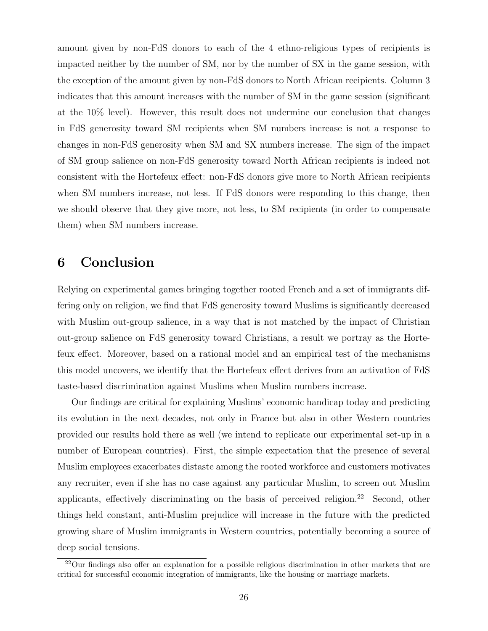amount given by non-FdS donors to each of the 4 ethno-religious types of recipients is impacted neither by the number of SM, nor by the number of SX in the game session, with the exception of the amount given by non-FdS donors to North African recipients. Column 3 indicates that this amount increases with the number of SM in the game session (significant at the 10% level). However, this result does not undermine our conclusion that changes in FdS generosity toward SM recipients when SM numbers increase is not a response to changes in non-FdS generosity when SM and SX numbers increase. The sign of the impact of SM group salience on non-FdS generosity toward North African recipients is indeed not consistent with the Hortefeux effect: non-FdS donors give more to North African recipients when SM numbers increase, not less. If FdS donors were responding to this change, then we should observe that they give more, not less, to SM recipients (in order to compensate them) when SM numbers increase.

# **6 Conclusion**

Relying on experimental games bringing together rooted French and a set of immigrants differing only on religion, we find that FdS generosity toward Muslims is significantly decreased with Muslim out-group salience, in a way that is not matched by the impact of Christian out-group salience on FdS generosity toward Christians, a result we portray as the Hortefeux effect. Moreover, based on a rational model and an empirical test of the mechanisms this model uncovers, we identify that the Hortefeux effect derives from an activation of FdS taste-based discrimination against Muslims when Muslim numbers increase.

Our findings are critical for explaining Muslims' economic handicap today and predicting its evolution in the next decades, not only in France but also in other Western countries provided our results hold there as well (we intend to replicate our experimental set-up in a number of European countries). First, the simple expectation that the presence of several Muslim employees exacerbates distaste among the rooted workforce and customers motivates any recruiter, even if she has no case against any particular Muslim, to screen out Muslim applicants, effectively discriminating on the basis of perceived religion.<sup>22</sup> Second, other things held constant, anti-Muslim prejudice will increase in the future with the predicted growing share of Muslim immigrants in Western countries, potentially becoming a source of deep social tensions.

<sup>&</sup>lt;sup>22</sup>Our findings also offer an explanation for a possible religious discrimination in other markets that are critical for successful economic integration of immigrants, like the housing or marriage markets.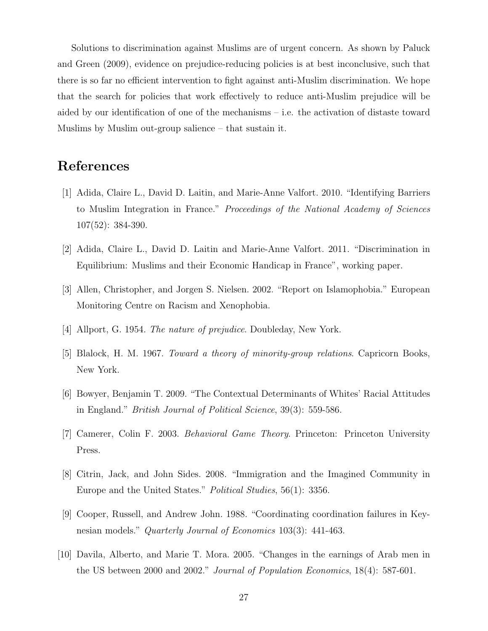Solutions to discrimination against Muslims are of urgent concern. As shown by Paluck and Green (2009), evidence on prejudice-reducing policies is at best inconclusive, such that there is so far no efficient intervention to fight against anti-Muslim discrimination. We hope that the search for policies that work effectively to reduce anti-Muslim prejudice will be aided by our identification of one of the mechanisms – i.e. the activation of distaste toward Muslims by Muslim out-group salience – that sustain it.

# **References**

- [1] Adida, Claire L., David D. Laitin, and Marie-Anne Valfort. 2010. "Identifying Barriers to Muslim Integration in France." *Proceedings of the National Academy of Sciences* 107(52): 384-390.
- [2] Adida, Claire L., David D. Laitin and Marie-Anne Valfort. 2011. "Discrimination in Equilibrium: Muslims and their Economic Handicap in France", working paper.
- [3] Allen, Christopher, and Jorgen S. Nielsen. 2002. "Report on Islamophobia." European Monitoring Centre on Racism and Xenophobia.
- [4] Allport, G. 1954. *The nature of prejudice*. Doubleday, New York.
- [5] Blalock, H. M. 1967. *Toward a theory of minority-group relations*. Capricorn Books, New York.
- [6] Bowyer, Benjamin T. 2009. "The Contextual Determinants of Whites' Racial Attitudes in England." *British Journal of Political Science*, 39(3): 559-586.
- [7] Camerer, Colin F. 2003. *Behavioral Game Theory*. Princeton: Princeton University Press.
- [8] Citrin, Jack, and John Sides. 2008. "Immigration and the Imagined Community in Europe and the United States." *Political Studies*, 56(1): 3356.
- [9] Cooper, Russell, and Andrew John. 1988. "Coordinating coordination failures in Keynesian models." *Quarterly Journal of Economics* 103(3): 441-463.
- [10] Davila, Alberto, and Marie T. Mora. 2005. "Changes in the earnings of Arab men in the US between 2000 and 2002." *Journal of Population Economics*, 18(4): 587-601.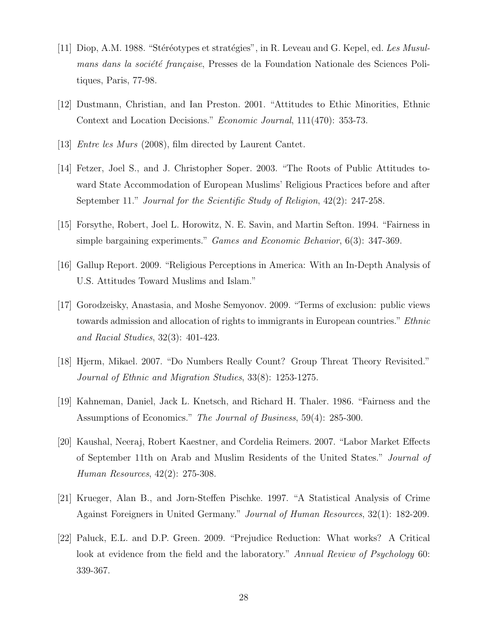- [11] Diop, A.M. 1988. "Stéréotypes et stratégies", in R. Leveau and G. Kepel, ed. *Les Musulmans dans la société française*, Presses de la Foundation Nationale des Sciences Politiques, Paris, 77-98.
- [12] Dustmann, Christian, and Ian Preston. 2001. "Attitudes to Ethic Minorities, Ethnic Context and Location Decisions." *Economic Journal*, 111(470): 353-73.
- [13] *Entre les Murs* (2008), film directed by Laurent Cantet.
- [14] Fetzer, Joel S., and J. Christopher Soper. 2003. "The Roots of Public Attitudes toward State Accommodation of European Muslims' Religious Practices before and after September 11." *Journal for the Scientific Study of Religion*, 42(2): 247-258.
- [15] Forsythe, Robert, Joel L. Horowitz, N. E. Savin, and Martin Sefton. 1994. "Fairness in simple bargaining experiments." *Games and Economic Behavior*, 6(3): 347-369.
- [16] Gallup Report. 2009. "Religious Perceptions in America: With an In-Depth Analysis of U.S. Attitudes Toward Muslims and Islam."
- [17] Gorodzeisky, Anastasia, and Moshe Semyonov. 2009. "Terms of exclusion: public views towards admission and allocation of rights to immigrants in European countries." *Ethnic and Racial Studies*, 32(3): 401-423.
- [18] Hjerm, Mikael. 2007. "Do Numbers Really Count? Group Threat Theory Revisited." *Journal of Ethnic and Migration Studies*, 33(8): 1253-1275.
- [19] Kahneman, Daniel, Jack L. Knetsch, and Richard H. Thaler. 1986. "Fairness and the Assumptions of Economics." *The Journal of Business*, 59(4): 285-300.
- [20] Kaushal, Neeraj, Robert Kaestner, and Cordelia Reimers. 2007. "Labor Market Effects of September 11th on Arab and Muslim Residents of the United States." *Journal of Human Resources*, 42(2): 275-308.
- [21] Krueger, Alan B., and Jorn-Steffen Pischke. 1997. "A Statistical Analysis of Crime Against Foreigners in United Germany." *Journal of Human Resources*, 32(1): 182-209.
- [22] Paluck, E.L. and D.P. Green. 2009. "Prejudice Reduction: What works? A Critical look at evidence from the field and the laboratory." *Annual Review of Psychology* 60: 339-367.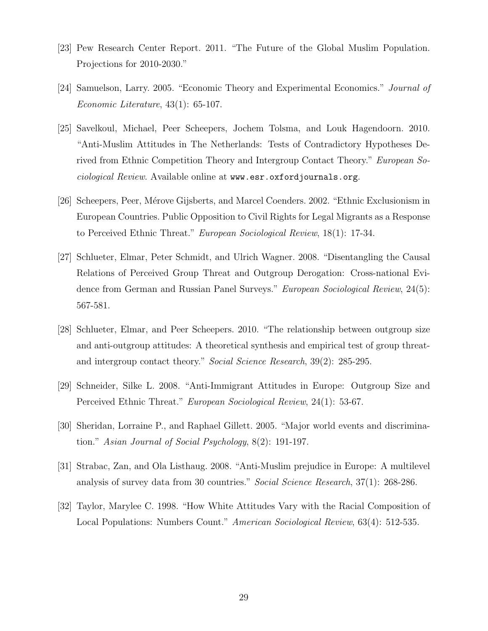- [23] Pew Research Center Report. 2011. "The Future of the Global Muslim Population. Projections for 2010-2030."
- [24] Samuelson, Larry. 2005. "Economic Theory and Experimental Economics." *Journal of Economic Literature*, 43(1): 65-107.
- [25] Savelkoul, Michael, Peer Scheepers, Jochem Tolsma, and Louk Hagendoorn. 2010. "Anti-Muslim Attitudes in The Netherlands: Tests of Contradictory Hypotheses Derived from Ethnic Competition Theory and Intergroup Contact Theory." *European Sociological Review*. Available online at www.esr.oxfordjournals.org.
- [26] Scheepers, Peer, Mérove Gijsberts, and Marcel Coenders. 2002. "Ethnic Exclusionism in European Countries. Public Opposition to Civil Rights for Legal Migrants as a Response to Perceived Ethnic Threat." *European Sociological Review*, 18(1): 17-34.
- [27] Schlueter, Elmar, Peter Schmidt, and Ulrich Wagner. 2008. "Disentangling the Causal Relations of Perceived Group Threat and Outgroup Derogation: Cross-national Evidence from German and Russian Panel Surveys." *European Sociological Review*, 24(5): 567-581.
- [28] Schlueter, Elmar, and Peer Scheepers. 2010. "The relationship between outgroup size and anti-outgroup attitudes: A theoretical synthesis and empirical test of group threatand intergroup contact theory." *Social Science Research*, 39(2): 285-295.
- [29] Schneider, Silke L. 2008. "Anti-Immigrant Attitudes in Europe: Outgroup Size and Perceived Ethnic Threat." *European Sociological Review*, 24(1): 53-67.
- [30] Sheridan, Lorraine P., and Raphael Gillett. 2005. "Major world events and discrimination." *Asian Journal of Social Psychology*, 8(2): 191-197.
- [31] Strabac, Zan, and Ola Listhaug. 2008. "Anti-Muslim prejudice in Europe: A multilevel analysis of survey data from 30 countries." *Social Science Research*, 37(1): 268-286.
- [32] Taylor, Marylee C. 1998. "How White Attitudes Vary with the Racial Composition of Local Populations: Numbers Count." *American Sociological Review*, 63(4): 512-535.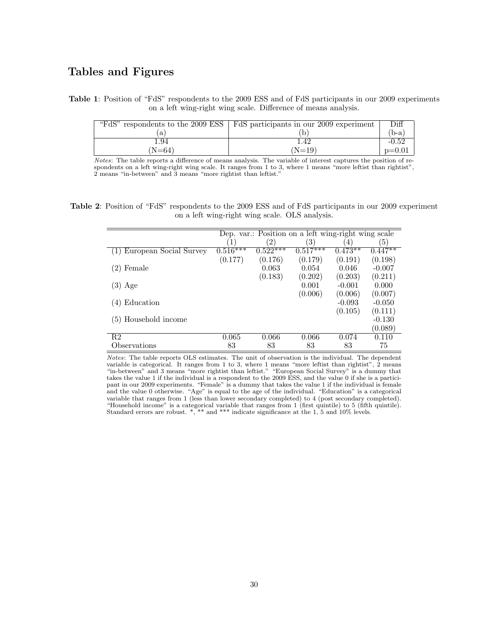#### **Tables and Figures**

**Table 1**: Position of "FdS" respondents to the 2009 ESS and of FdS participants in our 2009 experiments on a left wing-right wing scale. Difference of means analysis.

|        | "FdS" respondents to the 2009 ESS $\vert$ FdS participants in our 2009 experiment | Diff     |
|--------|-----------------------------------------------------------------------------------|----------|
| a      |                                                                                   | $(b-a)$  |
| 1.94   | 1.42                                                                              | $-0.52$  |
| $N=64$ | $(N=19)$                                                                          | $p=0.01$ |

*Notes*: The table reports a difference of means analysis. The variable of interest captures the position of respondents on a left wing-right wing scale. It ranges from 1 to 3, where 1 means "more leftist than rightist", 2 means "in-between" and 3 means "more rightist than leftist."

**Table 2**: Position of "FdS" respondents to the 2009 ESS and of FdS participants in our 2009 experiment on a left wing-right wing scale. OLS analysis.

|                        |            |                   | Dep. var.: Position on a left wing-right wing scale |           |                      |
|------------------------|------------|-------------------|-----------------------------------------------------|-----------|----------------------|
|                        |            | $\left( 2\right)$ | $\left(3\right)$                                    | 4         | $\left(5\right)$     |
| European Social Survey | $0.516***$ | $0.522***$        | $0.517***$                                          | $0.473**$ | $0.\overline{447**}$ |
|                        | (0.177)    | (0.176)           | (0.179)                                             | (0.191)   | (0.198)              |
| (2)<br>Female          |            | 0.063             | 0.054                                               | 0.046     | $-0.007$             |
|                        |            | (0.183)           | (0.202)                                             | (0.203)   | (0.211)              |
| $(3)$ Age              |            |                   | 0.001                                               | $-0.001$  | 0.000                |
|                        |            |                   | (0.006)                                             | (0.006)   | (0.007)              |
| Education              |            |                   |                                                     | $-0.093$  | $-0.050$             |
|                        |            |                   |                                                     | (0.105)   | (0.111)              |
| (5) Household income   |            |                   |                                                     |           | $-0.130$             |
|                        |            |                   |                                                     |           | (0.089)              |
| R <sub>2</sub>         | 0.065      | 0.066             | 0.066                                               | 0.074     | 0.110                |
| Observations           | 83         | 83                | 83                                                  | 83        | 75                   |

*Notes*: The table reports OLS estimates. The unit of observation is the individual. The dependent variable is categorical. It ranges from 1 to 3, where 1 means "more leftist than rightist", 2 means "in-between" and 3 means "more rightist than leftist." "European Social Survey" is a dummy that takes the value 1 if the individual is a respondent to the 2009 ESS, and the value 0 if she is a participant in our 2009 experiments. "Female" is a dummy that takes the value 1 if the individual is female and the value 0 otherwise. "Age" is equal to the age of the individual. "Education" is a categorical variable that ranges from 1 (less than lower secondary completed) to 4 (post secondary completed). "Household income" is a categorical variable that ranges from 1 (first quintile) to 5 (fifth quintile). Standard errors are robust. \*, \*\* and \*\*\* indicate significance at the 1, 5 and 10% levels.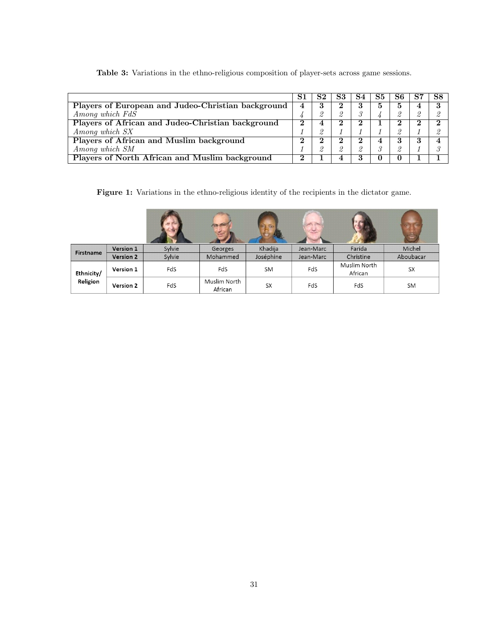**Table 3:** Variations in the ethno-religious composition of player-sets across game sessions.

|                                                       | S1 | S2 | S3            | S4       | S5 | S6.      | S8 |
|-------------------------------------------------------|----|----|---------------|----------|----|----------|----|
| Players of European and Judeo-Christian background    | 4  | .) |               | 3        | Ð  | Ð        |    |
| Among which FdS                                       |    |    | $\mathcal{O}$ |          |    |          |    |
| Players of African and Judeo-Christian background     | ົ  |    | 2             | 2        |    |          |    |
| Among which SX                                        |    |    |               |          |    |          |    |
| Players of African and Muslim background              | ∩  |    |               |          |    |          |    |
| Among which SM                                        |    |    | $\Omega$      | $\theta$ |    | $\Omega$ |    |
| <b>Players of North African and Muslim background</b> | ົ  |    |               | 3        |    |          |    |

**Figure 1:** Variations in the ethno-religious identity of the recipients in the dictator game.

|            |                  |        | $\sqrt{2}$              |           |           |                         | $\overline{a}$ |
|------------|------------------|--------|-------------------------|-----------|-----------|-------------------------|----------------|
| Firstname  | Version 1        | Sylvie | Georges                 | Khadija   | Jean-Marc | Farida                  | Michel         |
|            | <b>Version 2</b> | Sylvie | Mohammed                | Joséphine | Jean-Marc | Christine               | Aboubacar      |
| Ethnicity/ | Version 1        | FdS    | FdS                     | <b>SM</b> | FdS       | Muslim North<br>African | SX             |
| Religion   | Version 2        | FdS    | Muslim North<br>African | <b>SX</b> | FdS       | FdS                     | <b>SM</b>      |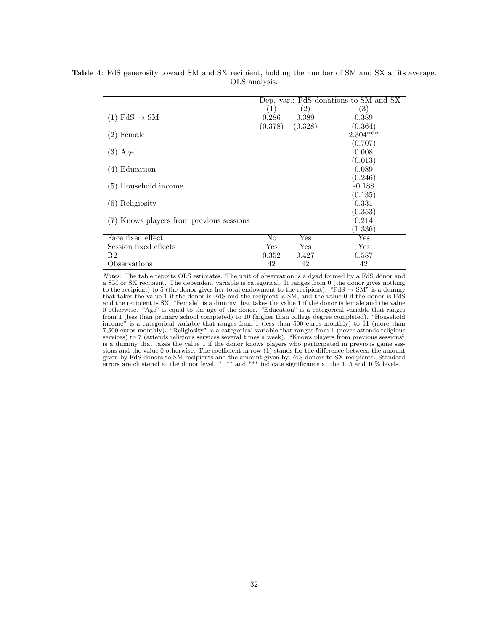|                                          |         |                   | Dep. var.: FdS donations to SM and SX |
|------------------------------------------|---------|-------------------|---------------------------------------|
|                                          | (1)     | $\left( 2\right)$ | $\left( 3\right)$                     |
| $FdS \rightarrow SM$                     | 0.286   | 0.389             | 0.389                                 |
|                                          | (0.378) | (0.328)           | (0.364)                               |
| $(2)$ Female                             |         |                   | $2.304***$                            |
|                                          |         |                   | (0.707)                               |
| $(3)$ Age                                |         |                   | 0.008                                 |
|                                          |         |                   | (0.013)                               |
| Education<br>(4)                         |         |                   | 0.089                                 |
|                                          |         |                   | (0.246)                               |
| (5) Household income                     |         |                   | $-0.188$                              |
|                                          |         |                   | (0.135)                               |
| $(6)$ Religiosity                        |         |                   | 0.331                                 |
|                                          |         |                   | (0.353)                               |
| (7) Knows players from previous sessions |         |                   | 0.214                                 |
|                                          |         |                   | (1.336)                               |
| Face fixed effect                        | No      | Yes               | Yes                                   |
| Session fixed effects                    | Yes     | Yes               | Yes                                   |
| R2                                       | 0.352   | 0.427             | 0.587                                 |
| Observations                             | 42      | 42                | 42                                    |

**Table 4**: FdS generosity toward SM and SX recipient, holding the number of SM and SX at its average. OLS analysis.

*Notes*: The table reports OLS estimates. The unit of observation is a dyad formed by a FdS donor and a SM or SX recipient. The dependent variable is categorical. It ranges from 0 (the donor gives nothing to the recipient) to 5 (the donor gives her total endowment to the recipient). "FdS *→* SM" is a dummy that takes the value 1 if the donor is FdS and the recipient is SM, and the value 0 if the donor is FdS and the recipient is SX. "Female" is a dummy that takes the value 1 if the donor is female and the value 0 otherwise. "Age" is equal to the age of the donor. "Education" is a categorical variable that ranges from 1 (less than primary school completed) to 10 (higher than college degree completed). "Household income" is a categorical variable that ranges from 1 (less than 500 euros monthly) to 11 (more than 7,500 euros monthly). "Religiosity" is a categorical variable that ranges from 1 (never attends religious services) to 7 (attends religious services several times a week). "Knows players from previous sessions" is a dummy that takes the value 1 if the donor knows players who participated in previous game sessions and the value 0 otherwise. The coefficient in row (1) stands for the difference between the amount given by FdS donors to SM recipients and the amount given by FdS donors to SX recipients. Standard errors are clustered at the donor level. \*, \*\* and \*\*\* indicate significance at the 1, 5 and 10% levels.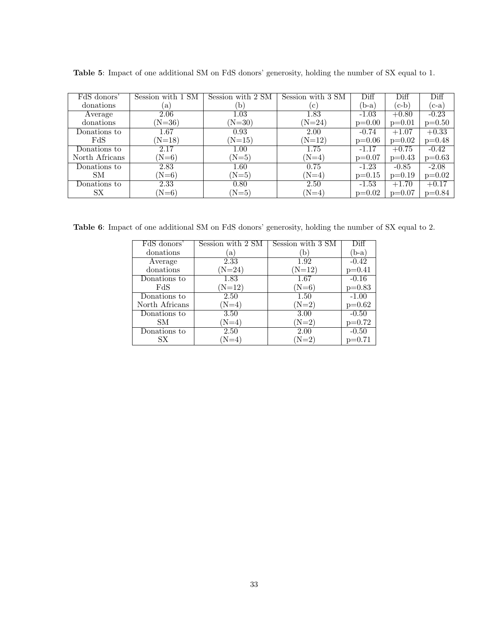| FdS donors'    | Session with 1 SM   | Session with 2 SM | Session with 3 SM | Diff     | Diff     | Diff     |
|----------------|---------------------|-------------------|-------------------|----------|----------|----------|
| donations      | $\lbrack a \rbrack$ | `b`               | c                 | $(b-a)$  | $(c-b)$  | $(c-a)$  |
| Average        | 2.06                | 1.03              | 1.83              | $-1.03$  | $+0.80$  | $-0.23$  |
| donations      | $(N=36)$            | $(N=30)$          | $(N=24)$          | $p=0.00$ | $p=0.01$ | $p=0.50$ |
| Donations to   | 1.67                | 0.93              | 2.00              | $-0.74$  | $+1.07$  | $+0.33$  |
| FdS            | $(N=18)$            | $(N=15)$          | $(N=12)$          | $p=0.06$ | $p=0.02$ | $p=0.48$ |
| Donations to   | 2.17                | 1.00              | 1.75              | $-1.17$  | $+0.75$  | $-0.42$  |
| North Africans | $(N=6)$             | $(N=5)$           | $(N=4)$           | $p=0.07$ | $p=0.43$ | $p=0.63$ |
| Donations to   | 2.83                | 1.60              | 0.75              | $-1.23$  | $-0.85$  | $-2.08$  |
| SМ             | $(N=6)$             | $(N=5)$           | $(N=4)$           | $p=0.15$ | $p=0.19$ | $p=0.02$ |
| Donations to   | 2.33                | 0.80              | 2.50              | $-1.53$  | $+1.70$  | $+0.17$  |
| SX             | $(N=6)$             | $(N=5)$           | $(N=4)$           | $p=0.02$ | $p=0.07$ | $p=0.84$ |

**Table 5**: Impact of one additional SM on FdS donors' generosity, holding the number of SX equal to 1.

**Table 6**: Impact of one additional SM on FdS donors' generosity, holding the number of SX equal to 2.

| FdS donors'    | Session with 2 SM | Session with 3 SM | Diff     |
|----------------|-------------------|-------------------|----------|
| donations      | $\mathbf{a}$      | b                 | $(b-a)$  |
| Average        | 2.33              | 1.92              | $-0.42$  |
| donations      | $(N=24)$          | $(N=12)$          | $p=0.41$ |
| Donations to   | 1.83              | 1.67              | $-0.16$  |
| FdS            | $(N=12)$          | $(N=6)$           | $p=0.83$ |
| Donations to   | 2.50              | 1.50              | $-1.00$  |
| North Africans | $(N=4)$           | $(N=2)$           | $p=0.62$ |
| Donations to   | 3.50              | 3.00              | $-0.50$  |
| SМ             | $(N=4)$           | $(N=2)$           | $p=0.72$ |
| Donations to   | 2.50              | 2.00              | $-0.50$  |
| SX.            | $N=4$             | $(N=2)$           | $p=0.71$ |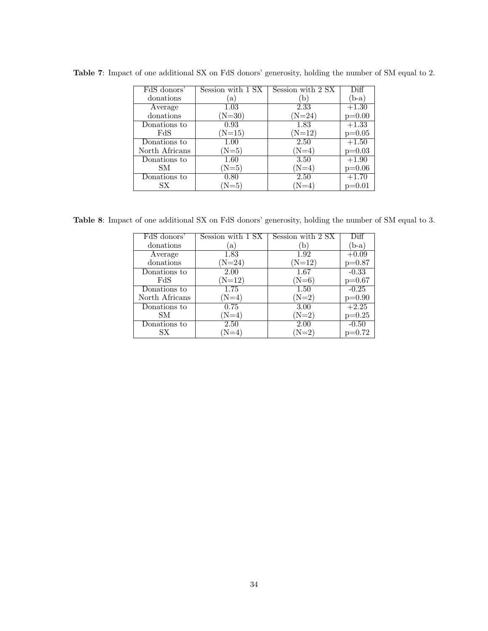| FdS donors'    | Session with 1 SX | Session with 2 SX | Diff     |
|----------------|-------------------|-------------------|----------|
| donations      | a)                | `b                | $(b-a)$  |
| Average        | 1.03              | 2.33              | $+1.30$  |
| donations      | $(N=30)$          | $(N=24)$          | $p=0.00$ |
| Donations to   | 0.93              | 1.83              | $+1.33$  |
| FdS            | $(N=15)$          | $(N=12)$          | $p=0.05$ |
| Donations to   | 1.00              | 2.50              | $+1.50$  |
| North Africans | $(N=5)$           | $(N=4)$           | $p=0.03$ |
| Donations to   | 1.60              | 3.50              | $+1.90$  |
| SМ             | $(N=5)$           | $(N=4)$           | $p=0.06$ |
| Donations to   | 0.80              | 2.50              | $+1.70$  |
| SХ             | $(N=5)$           | $(N=4)$           | $p=0.01$ |

**Table 7**: Impact of one additional SX on FdS donors' generosity, holding the number of SM equal to 2.

**Table 8**: Impact of one additional SX on FdS donors' generosity, holding the number of SM equal to 3.

| FdS donors'    | Session with 1 SX | Session with 2 SX | Diff     |
|----------------|-------------------|-------------------|----------|
| donations      | a)                | (b)               | $(b-a)$  |
| Average        | 1.83              | 1.92              | $+0.09$  |
| donations      | $(N=24)$          | $(N=12)$          | $p=0.87$ |
| Donations to   | 2.00              | 1.67              | $-0.33$  |
| FdS            | $(N=12)$          | $(N=6)$           | $p=0.67$ |
| Donations to   | 1.75              | 1.50              | $-0.25$  |
| North Africans | $(N=4)$           | $(N=2)$           | $p=0.90$ |
| Donations to   | 0.75              | 3.00              | $+2.25$  |
| SМ             | $(N=4)$           | $(N=2)$           | $p=0.25$ |
| Donations to   | 2.50              | 2.00              | $-0.50$  |
| SХ             | $N=4$             | $N=2$             | $p=0.72$ |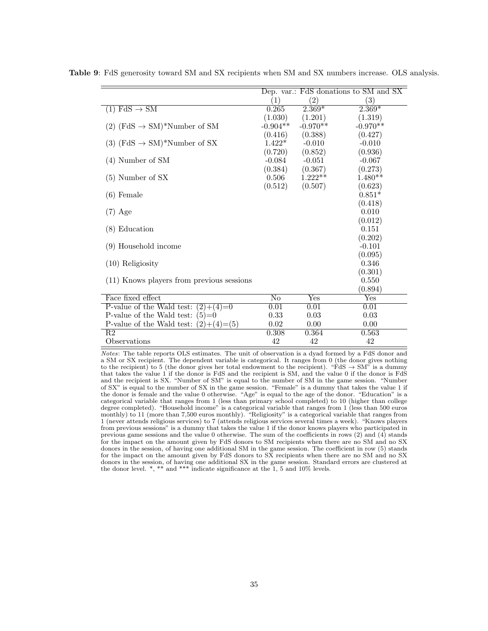|                                            |                   |                   | Dep. var.: FdS donations to SM and SX |
|--------------------------------------------|-------------------|-------------------|---------------------------------------|
|                                            | $\left( 1\right)$ | $\left( 2\right)$ | $\left( 3\right)$                     |
| $(1)$ FdS $\rightarrow$ SM                 | 0.265             | $2.369*$          | $2.369*$                              |
|                                            | (1.030)           | (1.201)           | (1.319)                               |
| $(2)$ (FdS $\rightarrow$ SM)*Number of SM  | $-0.904**$        | $-0.970**$        | $-0.970**$                            |
|                                            | (0.416)           | (0.388)           | (0.427)                               |
| $(3)$ (FdS $\rightarrow$ SM)*Number of SX  | $1.422*$          | $-0.010$          | $-0.010$                              |
|                                            | (0.720)           | (0.852)           | (0.936)                               |
| $(4)$ Number of SM                         | $-0.084$          | $-0.051$          | $-0.067$                              |
|                                            | (0.384)           | (0.367)           | (0.273)                               |
| $(5)$ Number of SX                         | 0.506             | $1.222**$         | $1.480**$                             |
|                                            | (0.512)           | (0.507)           | (0.623)                               |
| $(6)$ Female                               |                   |                   | $0.851*$                              |
|                                            |                   |                   | (0.418)                               |
| $(7)$ Age                                  |                   |                   | 0.010                                 |
|                                            |                   |                   | (0.012)                               |
| $(8)$ Education                            |                   |                   | 0.151                                 |
|                                            |                   |                   | (0.202)                               |
| (9) Household income                       |                   |                   | $-0.101$                              |
|                                            |                   |                   | (0.095)                               |
| $(10)$ Religiosity                         |                   |                   | 0.346                                 |
|                                            |                   |                   | (0.301)                               |
| (11) Knows players from previous sessions  |                   |                   | 0.550                                 |
|                                            |                   |                   | (0.894)                               |
| Face fixed effect                          | N <sub>0</sub>    | Yes               | Yes                                   |
| P-value of the Wald test:<br>$(2)+(4)=0$   | 0.01              | 0.01              | 0.01                                  |
| P-value of the Wald test:<br>$(5)=0$       | 0.33              | 0.03              | 0.03                                  |
| P-value of the Wald test:<br>$(2)+(4)=(5)$ | 0.02              | 0.00              | 0.00                                  |
| $\overline{R2}$                            | 0.308             | 0.364             | 0.563                                 |
| Observations                               | 42                | 42                | 42                                    |

**Table 9**: FdS generosity toward SM and SX recipients when SM and SX numbers increase. OLS analysis.

*Notes*: The table reports OLS estimates. The unit of observation is a dyad formed by a FdS donor and a SM or SX recipient. The dependent variable is categorical. It ranges from 0 (the donor gives nothing to the recipient) to 5 (the donor gives her total endowment to the recipient). "FdS *→* SM" is a dummy that takes the value 1 if the donor is FdS and the recipient is SM, and the value 0 if the donor is FdS and the recipient is SX. "Number of SM" is equal to the number of SM in the game session. "Number of SX" is equal to the number of SX in the game session. "Female" is a dummy that takes the value 1 if the donor is female and the value 0 otherwise. "Age" is equal to the age of the donor. "Education" is a categorical variable that ranges from 1 (less than primary school completed) to 10 (higher than college degree completed). "Household income" is a categorical variable that ranges from 1 (less than 500 euros monthly) to 11 (more than 7,500 euros monthly). "Religiosity" is a categorical variable that ranges from 1 (never attends religious services) to 7 (attends religious services several times a week). "Knows players from previous sessions" is a dummy that takes the value 1 if the donor knows players who participated in previous game sessions and the value 0 otherwise. The sum of the coefficients in rows (2) and (4) stands for the impact on the amount given by FdS donors to SM recipients when there are no SM and no SX donors in the session, of having one additional SM in the game session. The coefficient in row (5) stands for the impact on the amount given by FdS donors to SX recipients when there are no SM and no SX donors in the session, of having one additional SX in the game session. Standard errors are clustered at the donor level.  $\ast$ ,  $\ast\ast$  and  $\ast\ast\ast$  indicate significance at the 1, 5 and 10% levels.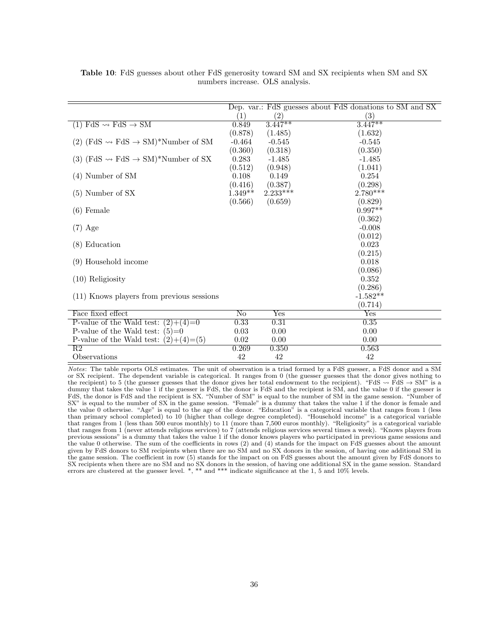|                                                             |                   |                   | Dep. var.: FdS guesses about FdS donations to SM and SX |
|-------------------------------------------------------------|-------------------|-------------------|---------------------------------------------------------|
|                                                             | $\left( 1\right)$ | $\left( 2\right)$ | $\left( 3\right)$                                       |
| $(1)$ FdS $\rightsquigarrow$ FdS $\rightarrow$ SM           | 0.849             | $3.447**$         | $3.447**$                                               |
|                                                             | (0.878)           | (1.485)           | (1.632)                                                 |
| $(2)$ (FdS $\rightarrow$ FdS $\rightarrow$ SM)*Number of SM | $-0.464$          | $-0.545$          | $-0.545$                                                |
|                                                             | (0.360)           | (0.318)           | (0.350)                                                 |
| (3) (FdS $\sim$ FdS $\rightarrow$ SM)*Number of SX          | 0.283             | $-1.485$          | $-1.485$                                                |
|                                                             | (0.512)           | (0.948)           | (1.041)                                                 |
| $(4)$ Number of SM                                          | 0.108             | 0.149             | 0.254                                                   |
|                                                             | (0.416)           | (0.387)           | (0.298)                                                 |
| $(5)$ Number of SX                                          | $1.349**$         | $2.233***$        | $2.780***$                                              |
|                                                             | (0.566)           | (0.659)           | (0.829)                                                 |
| $(6)$ Female                                                |                   |                   | $0.997**$                                               |
|                                                             |                   |                   | (0.362)                                                 |
| $(7)$ Age                                                   |                   |                   | $-0.008$                                                |
|                                                             |                   |                   | (0.012)                                                 |
| $(8)$ Education                                             |                   |                   | 0.023                                                   |
|                                                             |                   |                   | (0.215)                                                 |
| (9) Household income                                        |                   |                   | 0.018                                                   |
|                                                             |                   |                   | (0.086)                                                 |
| $(10)$ Religiosity                                          |                   |                   | 0.352                                                   |
|                                                             |                   |                   | (0.286)                                                 |
| (11) Knows players from previous sessions                   |                   |                   | $-1.582**$                                              |
|                                                             |                   |                   | (0.714)                                                 |
| Face fixed effect                                           | No                | Yes               | Yes                                                     |
| P-value of the Wald test: $(2)+(4)=0$                       | 0.33              | 0.31              | 0.35                                                    |
| P-value of the Wald test: $(5)=0$                           | 0.03              | 0.00              | 0.00                                                    |
| P-value of the Wald test: $(2)+(4)=(5)$                     | 0.02              | 0.00              | 0.00                                                    |
| R2                                                          | 0.269             | 0.350             | 0.563                                                   |
| Observations                                                | 42                | 42                | 42                                                      |

**Table 10**: FdS guesses about other FdS generosity toward SM and SX recipients when SM and SX numbers increase. OLS analysis.

*Notes*: The table reports OLS estimates. The unit of observation is a triad formed by a FdS guesser, a FdS donor and a SM or SX recipient. The dependent variable is categorical. It ranges from 0 (the guesser guesses that the donor gives nothing to the recipient) to 5 (the guesser guesses that the donor gives her total endowment to the recipient). "FdS  $\rightarrow$  FdS  $\rightarrow$  SM" is a dummy that takes the value 1 if the guesser is FdS, the donor is FdS and the recipient is SM, and the value 0 if the guesser is FdS, the donor is FdS and the recipient is SX. "Number of SM" is equal to the number of SM in the game session. "Number of SX" is equal to the number of SX in the game session. "Female" is a dummy that takes the value 1 if the donor is female and the value 0 otherwise. "Age" is equal to the age of the donor. "Education" is a categorical variable that ranges from 1 (less than primary school completed) to 10 (higher than college degree completed). "Household income" is a categorical variable that ranges from 1 (less than 500 euros monthly) to 11 (more than 7,500 euros monthly). "Religiosity" is a categorical variable that ranges from 1 (never attends religious services) to 7 (attends religious services several times a week). "Knows players from previous sessions" is a dummy that takes the value 1 if the donor knows players who participated in previous game sessions and the value 0 otherwise. The sum of the coefficients in rows (2) and (4) stands for the impact on FdS guesses about the amount given by FdS donors to SM recipients when there are no SM and no SX donors in the session, of having one additional SM in the game session. The coefficient in row (5) stands for the impact on on FdS guesses about the amount given by FdS donors to SX recipients when there are no SM and no SX donors in the session, of having one additional SX in the game session. Standard errors are clustered at the guesser level. \*, \*\* and \*\*\* indicate significance at the 1, 5 and 10% levels.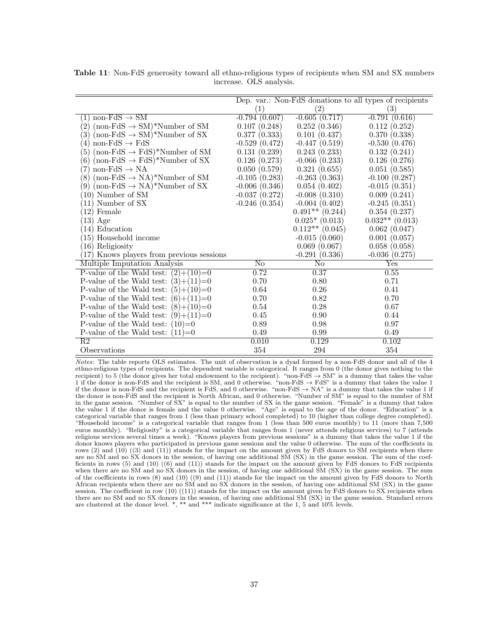|                                                              |                   |                     | Dep. var.: Non-FdS donations to all types of recipients |
|--------------------------------------------------------------|-------------------|---------------------|---------------------------------------------------------|
|                                                              | $\left( 1\right)$ | (2)                 | (3)                                                     |
| $non-FdS \rightarrow SM$<br>$\left  \right $                 | $-0.794(0.607)$   | $-0.605(0.717)$     | $-0.791(0.616)$                                         |
| $\left( 2\right)$<br>$(non-FdS \rightarrow SM)*Number of SM$ | 0.107(0.248)      | 0.252(0.346)        | 0.112(0.252)                                            |
| $\left(3\right)$<br>$(non-FdS \rightarrow SM)*Number of SX$  | 0.377(0.333)      | 0.101(0.437)        | 0.370(0.338)                                            |
| $\left( 4\right)$<br>non-FdS $\rightarrow$ FdS               | $-0.529(0.472)$   | $-0.447(0.519)$     | $-0.530(0.476)$                                         |
| 5<br>$(non-FdS \rightarrow FdS)*Number of SM$                | 0.131(0.239)      | 0.243(0.233)        | 0.132(0.241)                                            |
| (6)<br>$(non-FdS \rightarrow FdS)*Number of SX$              | 0.126(0.273)      | $-0.066(0.233)$     | 0.126(0.276)                                            |
| non-FdS $\rightarrow$ NA<br>7)                               | 0.050(0.579)      | 0.321(0.655)        | 0.051(0.585)                                            |
| (non-FdS $\rightarrow$ NA)*Number of SM<br>$^{\prime}8)$     | $-0.105(0.283)$   | $-0.263(0.363)$     | $-0.100(0.287)$                                         |
| $\left(9\right)$<br>$(non-FdS \rightarrow NA)*Number of SX$  | $-0.006(0.346)$   | 0.054(0.402)        | $-0.015(0.351)$                                         |
| (10) Number of SM                                            | $-0.037(0.272)$   | $-0.008(0.310)$     | 0.009(0.241)                                            |
| (11) Number of SX                                            | $-0.246(0.354)$   | $-0.004(0.402)$     | $-0.245(0.351)$                                         |
| $(12)$ Female                                                |                   | $0.491**$ $(0.244)$ | 0.354(0.237)                                            |
| $(13)$ Age                                                   |                   | $0.025*(0.013)$     | $0.032**$ (0.013)                                       |
| 14) Education                                                |                   | $0.112**$ (0.045)   | 0.062(0.047)                                            |
| (15) Household income                                        |                   | $-0.015(0.060)$     | 0.001(0.057)                                            |
| (16) Religiosity                                             |                   | 0.069(0.067)        | 0.058(0.058)                                            |
| (17) Knows players from previous sessions                    |                   | $-0.291(0.336)$     | $-0.036(0.275)$                                         |
| Multiple Imputation Analysis                                 | No                | No                  | Yes                                                     |
| P-value of the Wald test: $(2)+(10)=0$                       | 0.72              | 0.37                | 0.55                                                    |
| P-value of the Wald test: $(3)+(11)=0$                       | 0.70              | 0.80                | 0.71                                                    |
| P-value of the Wald test: $(5)+(10)=0$                       | 0.64              | $0.26\,$            | 0.41                                                    |
| P-value of the Wald test: $(6)+(11)=0$                       | 0.70              | 0.82                | 0.70                                                    |
| P-value of the Wald test: $(8)+(10)=0$                       | 0.54              | 0.28                | 0.67                                                    |
| P-value of the Wald test: $(9)+(11)=0$                       | 0.45              | 0.90                | 0.44                                                    |
| P-value of the Wald test: $(10)=0$                           | 0.89              | 0.98                | 0.97                                                    |
| P-value of the Wald test: $(11)=0$                           | 0.49              | 0.99                | 0.49                                                    |
| $\overline{R2}$                                              | 0.010             | 0.129               | 0.102                                                   |
| Observations                                                 | 354               | 294                 | 354                                                     |

**Table 11**: Non-FdS generosity toward all ethno-religious types of recipients when SM and SX numbers increase. OLS analysis.

*Notes*: The table reports OLS estimates. The unit of observation is a dyad formed by a non-FdS donor and all of the 4 ethno-religious types of recipients. The dependent variable is categorical. It ranges from 0 (the donor gives nothing to the recipient) to 5 (the donor gives her total endowment to the recipient). "non-FdS *→* SM" is a dummy that takes the value 1 if the donor is non-FdS and the recipient is SM, and 0 otherwise. "non-FdS *→* FdS" is a dummy that takes the value 1 if the donor is non-FdS and the recipient is FdS, and 0 otherwise. "non-FdS *→* NA" is a dummy that takes the value 1 if the donor is non-FdS and the recipient is North African, and 0 otherwise. "Number of SM" is equal to the number of SM in the game session. "Number of SX" is equal to the number of SX in the game session. "Female" is a dummy that takes the value 1 if the donor is female and the value 0 otherwise. "Age" is equal to the age of the donor. "Education" is a categorical variable that ranges from 1 (less than primary school completed) to 10 (higher than college degree completed). "Household income" is a categorical variable that ranges from 1 (less than 500 euros monthly) to 11 (more than 7,500 euros monthly). "Religiosity" is a categorical variable that ranges from 1 (never attends religious services) to 7 (attends religious services several times a week). "Knows players from previous sessions" is a dummy that takes the value 1 if the donor knows players who participated in previous game sessions and the value 0 otherwise. The sum of the coefficients in rows (2) and  $(10)$   $((3)$  and  $(11)$ ) stands for the impact on the amount given by FdS donors to SM recipients when there are no SM and no SX donors in the session, of having one additional SM (SX) in the game session. The sum of the coefficients in rows (5) and (10) ((6) and (11)) stands for the impact on the amount given by FdS donors to FdS recipients when there are no SM and no SX donors in the session, of having one additional SM (SX) in the game session. The sum of the coefficients in rows (8) and (10) ((9) and (11)) stands for the impact on the amount given by FdS donors to North African recipients when there are no SM and no SX donors in the session, of having one additional SM (SX) in the game session. The coefficient in row  $(10) ((11))$  stands for the impact on the amount given by FdS donors to SX recipients when there are no SM and no SX donors in the session, of having one additional SM (SX) in the game session. Standard errors are clustered at the donor level. \*, \*\* and \*\*\* indicate significance at the 1, 5 and 10% levels.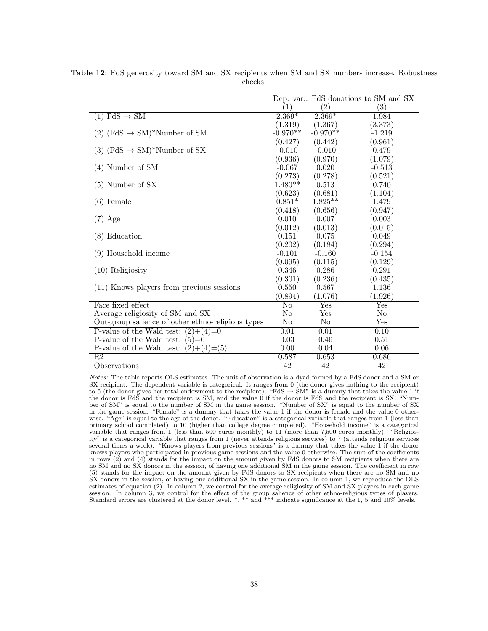|                                                     | Dep. var.: FdS donations to SM and SX |                           |                           |
|-----------------------------------------------------|---------------------------------------|---------------------------|---------------------------|
|                                                     | (1)                                   | $\left( 2\right)$         | $\left( 3\right)$         |
| $(1)$ FdS $\rightarrow$ SM                          | $2.369*$                              | $2.369*$                  | 1.984                     |
|                                                     | (1.319)                               | (1.367)                   | (3.373)                   |
| $(2)$ (FdS $\rightarrow$ SM)*Number of SM           | $-0.970**$                            | $-0.970**$                | $-1.219$                  |
|                                                     | (0.427)                               | (0.442)                   | (0.961)                   |
| $(3)$ (FdS $\rightarrow$ SM)*Number of SX           | $-0.010$                              | $-0.010$                  | 0.479                     |
|                                                     | (0.936)                               | (0.970)                   | (1.079)                   |
| $(4)$ Number of SM                                  | $-0.067$                              | 0.020                     | $-0.513$                  |
|                                                     | (0.273)                               | (0.278)                   | (0.521)                   |
| $(5)$ Number of SX                                  | $1.480**$                             | 0.513                     | 0.740                     |
|                                                     | (0.623)                               | (0.681)                   | (1.104)                   |
| $(6)$ Female                                        | $0.851*$                              | $1.825**$                 | 1.479                     |
|                                                     | (0.418)                               | (0.656)                   | (0.947)                   |
| $(7)$ Age                                           | 0.010                                 | 0.007                     | 0.003                     |
|                                                     | (0.012)                               | (0.013)                   | (0.015)                   |
| $(8)$ Education                                     | 0.151                                 | 0.075                     | 0.049                     |
|                                                     | (0.202)                               | (0.184)                   | (0.294)                   |
| (9) Household income                                | $-0.101$                              | $-0.160$                  | $-0.154$                  |
|                                                     | (0.095)                               | (0.115)                   | (0.129)                   |
| $(10)$ Religiosity                                  | 0.346                                 | 0.286                     | 0.291                     |
|                                                     | (0.301)                               | (0.236)                   | (0.435)                   |
| (11) Knows players from previous sessions           | 0.550                                 | 0.567                     | 1.136                     |
|                                                     | (0.894)                               | (1.076)                   | (1.926)                   |
| Face fixed effect                                   | $\overline{\text{No}}$                | $\overline{\mathrm{Yes}}$ | $\overline{\mathrm{Yes}}$ |
| Average religiosity of SM and SX                    | No                                    | Yes                       | N <sub>o</sub>            |
| Out-group salience of other ethno-religious types   | No                                    | No                        | Yes                       |
| P-value of the Wald test:<br>$\overline{(2)+(4)=0}$ | 0.01                                  | 0.01                      | 0.10                      |
| P-value of the Wald test: $(5)=0$                   | 0.03                                  | 0.46                      | 0.51                      |
| P-value of the Wald test: $(2)+(4)=(5)$             | 0.00                                  | 0.04                      | 0.06                      |
| $\overline{R2}$                                     | 0.587                                 | 0.653                     | 0.686                     |
| Observations                                        | 42                                    | 42                        | 42                        |

**Table 12**: FdS generosity toward SM and SX recipients when SM and SX numbers increase. Robustness checks.

*Notes*: The table reports OLS estimates. The unit of observation is a dyad formed by a FdS donor and a SM or SX recipient. The dependent variable is categorical. It ranges from 0 (the donor gives nothing to the recipient) to 5 (the donor gives her total endowment to the recipient). "FdS *→* SM" is a dummy that takes the value 1 if the donor is FdS and the recipient is SM, and the value 0 if the donor is FdS and the recipient is SX. "Number of SM" is equal to the number of SM in the game session. "Number of SX" is equal to the number of SX in the game session. "Female" is a dummy that takes the value 1 if the donor is female and the value 0 otherwise. "Age" is equal to the age of the donor. "Education" is a categorical variable that ranges from 1 (less than primary school completed) to 10 (higher than college degree completed). "Household income" is a categorical variable that ranges from 1 (less than 500 euros monthly) to 11 (more than 7,500 euros monthly). "Religiosity" is a categorical variable that ranges from 1 (never attends religious services) to 7 (attends religious services several times a week). "Knows players from previous sessions" is a dummy that takes the value 1 if the donor knows players who participated in previous game sessions and the value 0 otherwise. The sum of the coefficients in rows (2) and (4) stands for the impact on the amount given by FdS donors to SM recipients when there are no SM and no SX donors in the session, of having one additional SM in the game session. The coefficient in row (5) stands for the impact on the amount given by FdS donors to SX recipients when there are no SM and no SX donors in the session, of having one additional SX in the game session. In column 1, we reproduce the OLS estimates of equation (2). In column 2, we control for the average religiosity of SM and SX players in each game session. In column 3, we control for the effect of the group salience of other ethno-religious types of players. Standard errors are clustered at the donor level. \*, \*\* and \*\*\* indicate significance at the 1, 5 and 10% levels.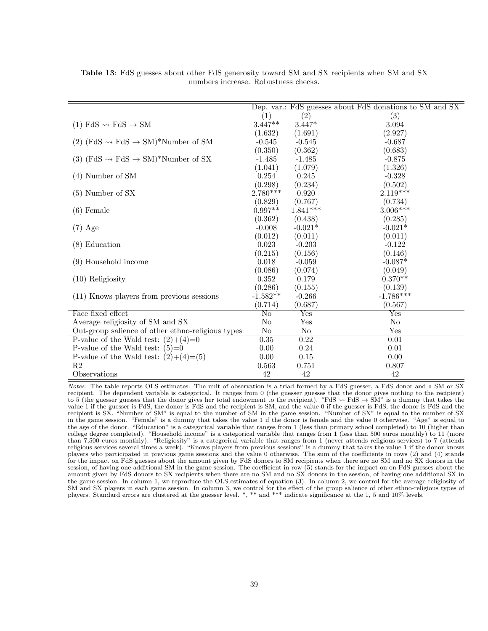|                                                                |                        |                   | Dep. var.: FdS guesses about FdS donations to SM and SX |
|----------------------------------------------------------------|------------------------|-------------------|---------------------------------------------------------|
|                                                                | (1)                    | $\left( 2\right)$ | (3)                                                     |
| $(1)$ FdS $\rightarrow$ FdS $\rightarrow$ SM                   | $3.447**$              | $3.447*$          | 3.094                                                   |
|                                                                | (1.632)                | (1.691)           | (2.927)                                                 |
| $(2)$ (FdS $\rightarrow$ FdS $\rightarrow$ SM)*Number of SM    | $-0.545$               | $-0.545$          | $-0.687$                                                |
|                                                                | (0.350)                | (0.362)           | (0.683)                                                 |
| (3) (FdS $\rightsquigarrow$ FdS $\rightarrow$ SM)*Number of SX | $-1.485$               | $-1.485$          | $-0.875$                                                |
|                                                                | (1.041)                | (1.079)           | (1.326)                                                 |
| $(4)$ Number of SM                                             | 0.254                  | 0.245             | $-0.328$                                                |
|                                                                | (0.298)                | (0.234)           | (0.502)                                                 |
| $(5)$ Number of SX                                             | $2.780***$             | 0.920             | $2.119***$                                              |
|                                                                | (0.829)                | (0.767)           | (0.734)                                                 |
| $(6)$ Female                                                   | $0.997**$              | $1.841***$        | $3.006***$                                              |
|                                                                | (0.362)                | (0.438)           | (0.285)                                                 |
| $(7)$ Age                                                      | $-0.008$               | $-0.021*$         | $-0.021*$                                               |
|                                                                | (0.012)                | (0.011)           | (0.011)                                                 |
| $(8)$ Education                                                | 0.023                  | $-0.203$          | $-0.122$                                                |
|                                                                | (0.215)                | (0.156)           | (0.146)                                                 |
| (9) Household income                                           | 0.018                  | $-0.059$          | $-0.087*$                                               |
|                                                                | (0.086)                | (0.074)           | (0.049)                                                 |
| $(10)$ Religiosity                                             | 0.352                  | 0.179             | $0.370**$                                               |
|                                                                | (0.286)                | (0.155)           | (0.139)                                                 |
| (11) Knows players from previous sessions                      | $-1.582**$             | $-0.266$          | $-1.786***$                                             |
|                                                                | (0.714)                | (0.687)           | (0.567)                                                 |
| Face fixed effect                                              | $\overline{\text{No}}$ | Yes               | $\overline{\mathrm{Yes}}$                               |
| Average religiosity of SM and SX                               | $\rm No$               | Yes               | No                                                      |
| Out-group salience of other ethno-religious types              | No                     | No                | Yes                                                     |
| P-value of the Wald test: $(2)+(4)=0$                          | 0.35                   | 0.22              | 0.01                                                    |
| P-value of the Wald test: $(5)=0$                              | 0.00                   | 0.24              | 0.01                                                    |
| P-value of the Wald test: $(2)+(4)=(5)$                        | 0.00                   | $0.15\,$          | 0.00                                                    |
| R2                                                             | 0.563                  | 0.751             | 0.807                                                   |
| Observations                                                   | 42                     | 42                | 42                                                      |

**Table 13**: FdS guesses about other FdS generosity toward SM and SX recipients when SM and SX numbers increase. Robustness checks.

*Notes*: The table reports OLS estimates. The unit of observation is a triad formed by a FdS guesser, a FdS donor and a SM or SX recipient. The dependent variable is categorical. It ranges from 0 (the guesser guesses that the donor gives nothing to the recipient) to 5 (the guesser guesses that the donor gives her total endowment to the recipient). "FdS  $\rightarrow$  FdS  $\rightarrow$  SM" is a dummy that takes the value 1 if the guesser is FdS, the donor is FdS and the recipient is SM, and the value 0 if the guesser is FdS, the donor is FdS and the recipient is SX. "Number of SM" is equal to the number of SM in the game session. "Number of SX" is equal to the number of SX in the game session. "Female" is a dummy that takes the value 1 if the donor is female and the value 0 otherwise. "Age" is equal to the age of the donor. "Education" is a categorical variable that ranges from 1 (less than primary school completed) to 10 (higher than college degree completed). "Household income" is a categorical variable that ranges from 1 (less than 500 euros monthly) to 11 (more than 7,500 euros monthly). "Religiosity" is a categorical variable that ranges from 1 (never attends religious services) to 7 (attends religious services several times a week). "Knows players from previous sessions" is a dummy that takes the value 1 if the donor knows players who participated in previous game sessions and the value 0 otherwise. The sum of the coefficients in rows (2) and (4) stands for the impact on FdS guesses about the amount given by FdS donors to SM recipients when there are no SM and no SX donors in the session, of having one additional SM in the game session. The coefficient in row (5) stands for the impact on on FdS guesses about the amount given by FdS donors to SX recipients when there are no SM and no SX donors in the session, of having one additional SX in the game session. In column 1, we reproduce the OLS estimates of equation (3). In column 2, we control for the average religiosity of SM and SX players in each game session. In column 3, we control for the effect of the group salience of other ethno-religious types of players. Standard errors are clustered at the guesser level. \*, \*\* and \*\*\* indicate significance at the 1, 5 and 10% levels.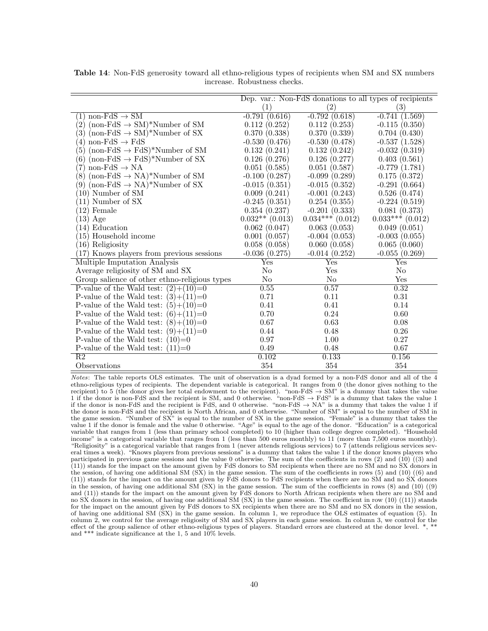|                                                              | Dep. var.: Non-FdS donations to all types of recipients |                      |                      |  |
|--------------------------------------------------------------|---------------------------------------------------------|----------------------|----------------------|--|
|                                                              | (1)                                                     | $\left( 2\right)$    | (3)                  |  |
| non-FdS $\rightarrow$ SM<br>$\left(1\right)$                 | $-0.791(0.616)$                                         | $-0.792(0.618)$      | $-0.741(1.569)$      |  |
| $(non-FdS \rightarrow SM)*Number of SM$<br>$\left( 2\right)$ | 0.112(0.252)                                            | 0.112(0.253)         | $-0.115(0.350)$      |  |
| 3)<br>$(non-FdS \rightarrow SM)*Number of SX$                | 0.370(0.338)                                            | 0.370(0.339)         | 0.704(0.430)         |  |
| non-FdS $\rightarrow$ FdS<br>$\left(4\right)$                | $-0.530(0.476)$                                         | $-0.530(0.478)$      | $-0.537(1.528)$      |  |
| (non-FdS $\rightarrow$ FdS)*Number of SM<br>(5)              | 0.132(0.241)                                            | 0.132(0.242)         | $-0.032(0.319)$      |  |
| (non-FdS $\rightarrow$ FdS)*Number of SX<br>(6)              | 0.126(0.276)                                            | 0.126(0.277)         | 0.403(0.561)         |  |
| non-FdS $\rightarrow$ NA<br>$\binom{7}{ }$                   | 0.051(0.585)                                            | 0.051(0.587)         | $-0.779(1.781)$      |  |
| (non-FdS $\rightarrow$ NA)*Number of SM<br>$^{\prime}8)$     | $-0.100(0.287)$                                         | $-0.099(0.289)$      | 0.175(0.372)         |  |
| $(non-FdS \rightarrow NA)*Number of SX$<br>(9)               | $-0.015(0.351)$                                         | $-0.015(0.352)$      | $-0.291(0.664)$      |  |
| $(10)$ Number of SM                                          | 0.009(0.241)                                            | $-0.001(0.243)$      | 0.526(0.474)         |  |
| (11) Number of SX                                            | $-0.245(0.351)$                                         | 0.254(0.355)         | $-0.224(0.519)$      |  |
| $(12)$ Female                                                | 0.354(0.237)                                            | $-0.201(0.333)$      | 0.081(0.373)         |  |
| $(13)$ Age                                                   | $0.032**$ (0.013)                                       | $0.034***$ $(0.012)$ | $0.033***$ $(0.012)$ |  |
| (14) Education                                               | 0.062(0.047)                                            | 0.063(0.053)         | 0.049(0.051)         |  |
| (15) Household income                                        | 0.001(0.057)                                            | $-0.004(0.053)$      | $-0.003(0.055)$      |  |
| (16) Religiosity                                             | 0.058(0.058)                                            | 0.060(0.058)         | 0.065(0.060)         |  |
| (17) Knows players from previous sessions                    | $-0.036(0.275)$                                         | $-0.014(0.252)$      | $-0.055(0.269)$      |  |
| Multiple Imputation Analysis                                 | Yes                                                     | Yes                  | $_{\rm Yes}$         |  |
| Average religiosity of SM and SX                             | No                                                      | Yes                  | N <sub>o</sub>       |  |
| Group salience of other ethno-religious types                | No                                                      | N <sub>o</sub>       | Yes                  |  |
| P-value of the Wald test: $(2)+(10)=0$                       | 0.55                                                    | 0.57                 | 0.32                 |  |
| P-value of the Wald test: $(3)+(11)=0$                       | 0.71                                                    | 0.11                 | 0.31                 |  |
| P-value of the Wald test:<br>$(5)+(10)=0$                    | 0.41                                                    | 0.41                 | 0.14                 |  |
| P-value of the Wald test:<br>$(6)+(11)=0$                    | 0.70                                                    | 0.24                 | 0.60                 |  |
| P-value of the Wald test: $(8)+(10)=0$                       | 0.67                                                    | 0.63                 | $0.08\,$             |  |
| P-value of the Wald test:<br>$(9)+(11)=0$                    | 0.44                                                    | 0.48                 | 0.26                 |  |
| P-value of the Wald test:<br>$(10)=0$                        | 0.97                                                    | 1.00                 | 0.27                 |  |
| P-value of the Wald test:<br>$(11)=0$                        | 0.49                                                    | 0.48                 | 0.67                 |  |
| $\overline{R2}$                                              | 0.102                                                   | 0.133                | 0.156                |  |
| Observations                                                 | 354                                                     | 354                  | 354                  |  |

**Table 14**: Non-FdS generosity toward all ethno-religious types of recipients when SM and SX numbers increase. Robustness checks.

*Notes*: The table reports OLS estimates. The unit of observation is a dyad formed by a non-FdS donor and all of the 4 ethno-religious types of recipients. The dependent variable is categorical. It ranges from 0 (the donor gives nothing to the recipient) to 5 (the donor gives her total endowment to the recipient). "non-FdS *→* SM" is a dummy that takes the value 1 if the donor is non-FdS and the recipient is SM, and 0 otherwise. "non-FdS *→* FdS" is a dummy that takes the value 1 if the donor is non-FdS and the recipient is FdS, and 0 otherwise. "non-FdS *→* NA" is a dummy that takes the value 1 if the donor is non-FdS and the recipient is North African, and 0 otherwise. "Number of SM" is equal to the number of SM in the game session. "Number of SX" is equal to the number of SX in the game session. "Female" is a dummy that takes the value 1 if the donor is female and the value 0 otherwise. "Age" is equal to the age of the donor. "Education" is a categorical variable that ranges from 1 (less than primary school completed) to 10 (higher than college degree completed). "Household income" is a categorical variable that ranges from 1 (less than 500 euros monthly) to 11 (more than 7,500 euros monthly). "Religiosity" is a categorical variable that ranges from 1 (never attends religious services) to 7 (attends religious services several times a week). "Knows players from previous sessions" is a dummy that takes the value 1 if the donor knows players who participated in previous game sessions and the value 0 otherwise. The sum of the coefficients in rows (2) and (10) ((3) and (11)) stands for the impact on the amount given by FdS donors to SM recipients when there are no SM and no SX donors in the session, of having one additional SM (SX) in the game session. The sum of the coefficients in rows (5) and (10) ((6) and (11)) stands for the impact on the amount given by FdS donors to FdS recipients when there are no SM and no SX donors in the session, of having one additional SM  $(SX)$  in the game session. The sum of the coefficients in rows  $(8)$  and  $(10)$   $(9)$ and (11)) stands for the impact on the amount given by FdS donors to North African recipients when there are no SM and no SX donors in the session, of having one additional SM (SX) in the game session. The coefficient in row (10) ((11)) stands for the impact on the amount given by FdS donors to SX recipients when there are no SM and no SX donors in the session, of having one additional SM (SX) in the game session. In column 1, we reproduce the OLS estimates of equation (5). In column 2, we control for the average religiosity of SM and SX players in each game session. In column 3, we control for the effect of the group salience of other ethno-religious types of players. Standard errors are clustered at the donor level. \*, \* and \*\*\* indicate significance at the 1, 5 and 10% levels.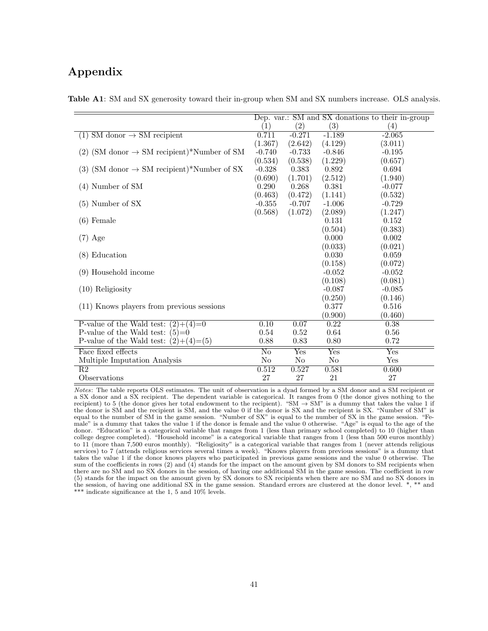### **Appendix**

|                                                          | Dep. var.: SM and SX donations to their in-group |                   |                           |                           |
|----------------------------------------------------------|--------------------------------------------------|-------------------|---------------------------|---------------------------|
|                                                          | $\left( 1\right)$                                | $\left( 2\right)$ | $\left( 3\right)$         | $\left( 4\right)$         |
| $SM$ donor $\rightarrow SM$ recipient<br>(1)             | 0.711                                            | $-0.271$          | $-1.189$                  | $-2.065$                  |
|                                                          | (1.367)                                          | (2.642)           | (4.129)                   | (3.011)                   |
| $(2)$ (SM donor $\rightarrow$ SM recipient)*Number of SM | $-0.740$                                         | $-0.733$          | $-0.846$                  | $-0.195$                  |
|                                                          | (0.534)                                          | (0.538)           | (1.229)                   | (0.657)                   |
| (3) (SM donor $\rightarrow$ SM recipient)*Number of SX   | $-0.328$                                         | 0.383             | 0.892                     | 0.694                     |
|                                                          | (0.690)                                          | (1.701)           | (2.512)                   | (1.940)                   |
| $(4)$ Number of SM                                       | 0.290                                            | 0.268             | 0.381                     | $-0.077$                  |
|                                                          | (0.463)                                          | (0.472)           | (1.141)                   | (0.532)                   |
| $(5)$ Number of SX                                       | $-0.355$                                         | $-0.707$          | $-1.006$                  | $-0.729$                  |
|                                                          | (0.568)                                          | (1.072)           | (2.089)                   | (1.247)                   |
| $(6)$ Female                                             |                                                  |                   | 0.131                     | 0.152                     |
|                                                          |                                                  |                   | (0.504)                   | (0.383)                   |
| $(7)$ Age                                                |                                                  |                   | 0.000                     | 0.002                     |
|                                                          |                                                  |                   | (0.033)                   | (0.021)                   |
| (8) Education                                            |                                                  |                   | 0.030                     | 0.059                     |
|                                                          |                                                  |                   | (0.158)                   | (0.072)                   |
| (9) Household income                                     |                                                  |                   | $-0.052$                  | $-0.052$                  |
|                                                          |                                                  |                   | (0.108)                   | (0.081)                   |
| $(10)$ Religiosity                                       |                                                  |                   | $-0.087$                  | $-0.085$                  |
|                                                          |                                                  |                   | (0.250)                   | (0.146)                   |
| (11) Knows players from previous sessions                |                                                  |                   | 0.377                     | 0.516                     |
|                                                          |                                                  |                   | (0.900)                   | (0.460)                   |
| P-value of the Wald test:<br>$(2)+(4)=0$                 | 0.10                                             | 0.07              | 0.22                      | 0.38                      |
| P-value of the Wald test:<br>$(5)=0$                     | 0.54                                             | 0.52              | 0.64                      | 0.56                      |
| P-value of the Wald test:<br>$(2)+(4)=(5)$               | 0.88                                             | 0.83              | 0.80                      | 0.72                      |
| Face fixed effects                                       | $\overline{\text{No}}$                           | $_{\rm Yes}$      | $\overline{\mathrm{Yes}}$ | $\overline{\mathrm{Yes}}$ |
| Multiple Imputation Analysis                             | No                                               | No                | N <sub>o</sub>            | Yes                       |
| R <sub>2</sub>                                           | 0.512                                            | 0.527             | 0.581                     | 0.600                     |
| Observations                                             | 27                                               | 27                | 21                        | 27                        |

**Table A1**: SM and SX generosity toward their in-group when SM and SX numbers increase. OLS analysis.

*Notes*: The table reports OLS estimates. The unit of observation is a dyad formed by a SM donor and a SM recipient or a SX donor and a SX recipient. The dependent variable is categorical. It ranges from 0 (the donor gives nothing to the recipient) to 5 (the donor gives her total endowment to the recipient). "SM  $\rightarrow$  SM" is a dummy that takes the value 1 if the donor is SM and the recipient is SM, and the value 0 if the donor is SX and the recipient is SX. "Number of SM" is equal to the number of SM in the game session. "Number of SX" is equal to the number of SX in the game session. "Female" is a dummy that takes the value 1 if the donor is female and the value 0 otherwise. "Age" is equal to the age of the donor. "Education" is a categorical variable that ranges from 1 (less than primary school completed) to 10 (higher than college degree completed). "Household income" is a categorical variable that ranges from 1 (less than 500 euros monthly) to 11 (more than 7,500 euros monthly). "Religiosity" is a categorical variable that ranges from 1 (never attends religious services) to 7 (attends religious services several times a week). "Knows players from previous sessions" is a dummy that takes the value 1 if the donor knows players who participated in previous game sessions and the value 0 otherwise. The sum of the coefficients in rows (2) and (4) stands for the impact on the amount given by SM donors to SM recipients when there are no SM and no SX donors in the session, of having one additional SM in the game session. The coefficient in row (5) stands for the impact on the amount given by SX donors to SX recipients when there are no SM and no SX donors in the session, of having one additional SX in the game session. Standard errors are clustered at the donor level. \*, \*\* and \*\*\* indicate significance at the 1, 5 and 10% levels.